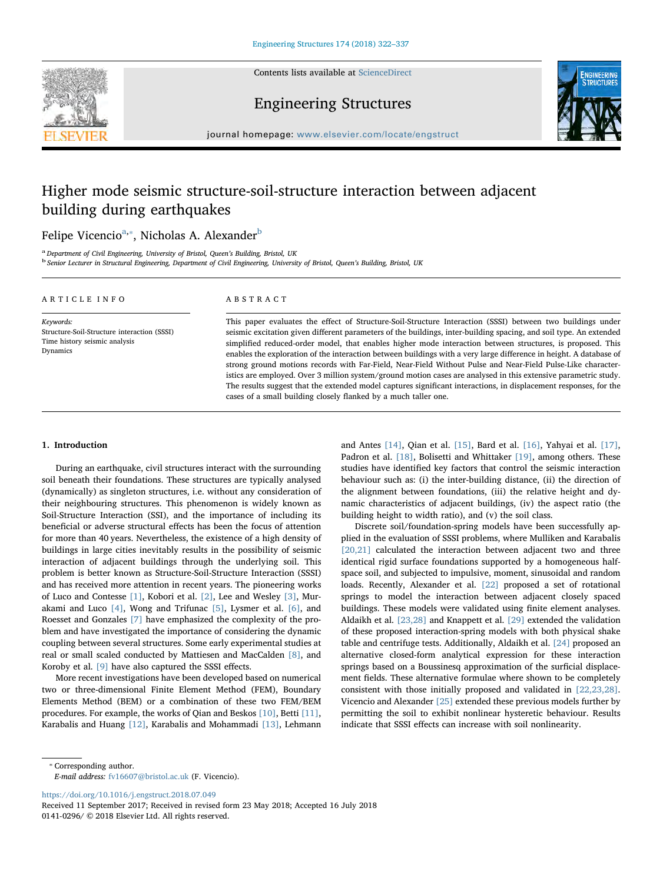Contents lists available at [ScienceDirect](http://www.sciencedirect.com/science/journal/01410296)





Engineering Structures

journal homepage: [www.elsevier.com/locate/engstruct](https://www.elsevier.com/locate/engstruct)

# Higher mode seismic structure-soil-structure interaction between adjacent building during earthquakes

# Felipe Vicencio<sup>[a,](#page-0-0)</sup>\*, Nicholas A. Alexander<sup>[b](#page-0-2)</sup>

<span id="page-0-2"></span><span id="page-0-0"></span><sup>a</sup> Department of Civil Engineering, University of Bristol, Queen's Building, Bristol, UK<br><sup>b</sup> Senior Lecturer in Structural Engineering, Department of Civil Engineering, University of Bristol, Queen's Building, Bristol, UK

| ARTICLE INFO                                                                                          | ABSTRACT                                                                                                                                                                                                                                                                                                                                                                                                                                                                                                                                                                                                                                                                                                                                                                                                                                                                                       |  |  |  |  |
|-------------------------------------------------------------------------------------------------------|------------------------------------------------------------------------------------------------------------------------------------------------------------------------------------------------------------------------------------------------------------------------------------------------------------------------------------------------------------------------------------------------------------------------------------------------------------------------------------------------------------------------------------------------------------------------------------------------------------------------------------------------------------------------------------------------------------------------------------------------------------------------------------------------------------------------------------------------------------------------------------------------|--|--|--|--|
| Keywords:<br>Structure-Soil-Structure interaction (SSSI)<br>Time history seismic analysis<br>Dynamics | This paper evaluates the effect of Structure-Soil-Structure Interaction (SSSI) between two buildings under<br>seismic excitation given different parameters of the buildings, inter-building spacing, and soil type. An extended<br>simplified reduced-order model, that enables higher mode interaction between structures, is proposed. This<br>enables the exploration of the interaction between buildings with a very large difference in height. A database of<br>strong ground motions records with Far-Field, Near-Field Without Pulse and Near-Field Pulse-Like character-<br>istics are employed. Over 3 million system/ground motion cases are analysed in this extensive parametric study.<br>The results suggest that the extended model captures significant interactions, in displacement responses, for the<br>cases of a small building closely flanked by a much taller one. |  |  |  |  |

#### 1. Introduction

During an earthquake, civil structures interact with the surrounding soil beneath their foundations. These structures are typically analysed (dynamically) as singleton structures, i.e. without any consideration of their neighbouring structures. This phenomenon is widely known as Soil-Structure Interaction (SSI), and the importance of including its beneficial or adverse structural effects has been the focus of attention for more than 40 years. Nevertheless, the existence of a high density of buildings in large cities inevitably results in the possibility of seismic interaction of adjacent buildings through the underlying soil. This problem is better known as Structure-Soil-Structure Interaction (SSSI) and has received more attention in recent years. The pioneering works of Luco and Contesse [\[1\],](#page-14-0) Kobori et al. [\[2\],](#page-14-1) Lee and Wesley [\[3\]](#page-14-2), Murakami and Luco [\[4\],](#page-14-3) Wong and Trifunac [\[5\],](#page-14-4) Lysmer et al. [\[6\],](#page-14-5) and Roesset and Gonzales [\[7\]](#page-14-6) have emphasized the complexity of the problem and have investigated the importance of considering the dynamic coupling between several structures. Some early experimental studies at real or small scaled conducted by Mattiesen and MacCalden [\[8\]](#page-14-7), and Koroby et al. [\[9\]](#page-14-8) have also captured the SSSI effects.

More recent investigations have been developed based on numerical two or three-dimensional Finite Element Method (FEM), Boundary Elements Method (BEM) or a combination of these two FEM/BEM procedures. For example, the works of Qian and Beskos [\[10\]](#page-14-9), Betti [\[11\]](#page-14-10), Karabalis and Huang [\[12\]](#page-14-11), Karabalis and Mohammadi [\[13\],](#page-14-12) Lehmann

and Antes [\[14\]](#page-14-13), Qian et al. [\[15\],](#page-15-0) Bard et al. [\[16\],](#page-15-1) Yahyai et al. [\[17\]](#page-15-2), Padron et al. [\[18\],](#page-15-3) Bolisetti and Whittaker [\[19\]](#page-15-4), among others. These studies have identified key factors that control the seismic interaction behaviour such as: (i) the inter-building distance, (ii) the direction of the alignment between foundations, (iii) the relative height and dynamic characteristics of adjacent buildings, (iv) the aspect ratio (the building height to width ratio), and (v) the soil class.

Discrete soil/foundation-spring models have been successfully applied in the evaluation of SSSI problems, where Mulliken and Karabalis [\[20,21\]](#page-15-5) calculated the interaction between adjacent two and three identical rigid surface foundations supported by a homogeneous halfspace soil, and subjected to impulsive, moment, sinusoidal and random loads. Recently, Alexander et al. [\[22\]](#page-15-6) proposed a set of rotational springs to model the interaction between adjacent closely spaced buildings. These models were validated using finite element analyses. Aldaikh et al. [\[23,28\]](#page-15-7) and Knappett et al. [\[29\]](#page-15-8) extended the validation of these proposed interaction-spring models with both physical shake table and centrifuge tests. Additionally, Aldaikh et al. [\[24\]](#page-15-9) proposed an alternative closed-form analytical expression for these interaction springs based on a Boussinesq approximation of the surficial displacement fields. These alternative formulae where shown to be completely consistent with those initially proposed and validated in [\[22,23,28\]](#page-15-6). Vicencio and Alexander [\[25\]](#page-15-10) extended these previous models further by permitting the soil to exhibit nonlinear hysteretic behaviour. Results indicate that SSSI effects can increase with soil nonlinearity.

<span id="page-0-1"></span>⁎ Corresponding author.

E-mail address: [fv16607@bristol.ac.uk](mailto:fv16607@bristol.ac.uk) (F. Vicencio).

<https://doi.org/10.1016/j.engstruct.2018.07.049>

Received 11 September 2017; Received in revised form 23 May 2018; Accepted 16 July 2018 0141-0296/ © 2018 Elsevier Ltd. All rights reserved.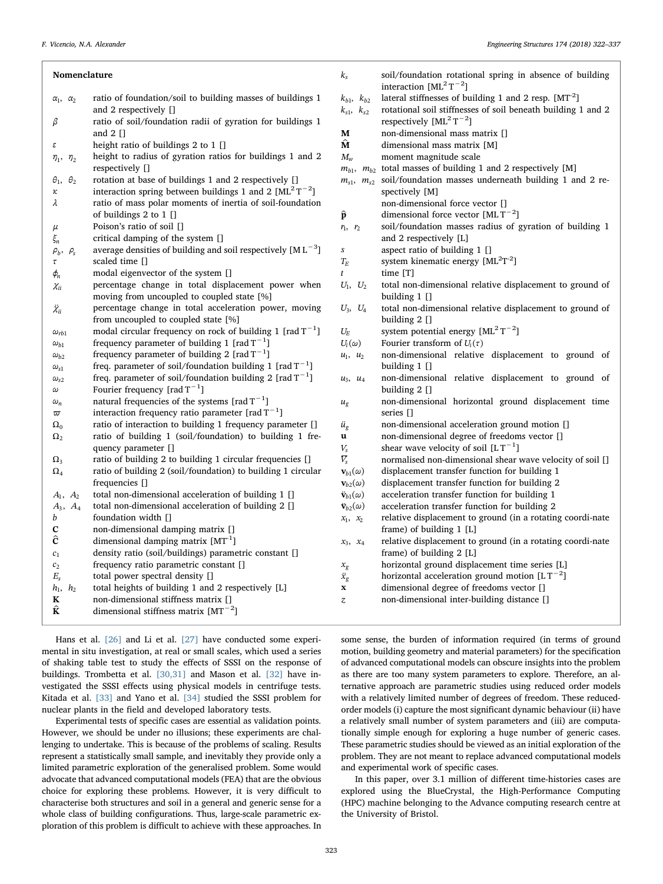| Nomenclature                |                                                                                                                          | $k_{s}$                                        | soil/foundation rotational spring in absence of building<br>interaction $[ML^2T^{-2}]$                                            |
|-----------------------------|--------------------------------------------------------------------------------------------------------------------------|------------------------------------------------|-----------------------------------------------------------------------------------------------------------------------------------|
| $\alpha_1, \alpha_2$        | ratio of foundation/soil to building masses of buildings 1<br>and 2 respectively []                                      | $k_{b1}$ , $k_{b2}$<br>$k_{s1}, k_{s2}$        | lateral stiffnesses of building 1 and 2 resp. [MT <sup>-2</sup> ]<br>rotational soil stiffnesses of soil beneath building 1 and 2 |
| β                           | ratio of soil/foundation radii of gyration for buildings 1                                                               |                                                | respectively $[ML^2T^{-2}]$                                                                                                       |
|                             | and $2$ []                                                                                                               | M                                              | non-dimensional mass matrix []                                                                                                    |
| ε                           | height ratio of buildings 2 to $1$ []                                                                                    | $\hat{\mathbf{M}}$                             | dimensional mass matrix [M]                                                                                                       |
| $\eta_2$<br>$\eta_1$ ,      | height to radius of gyration ratios for buildings 1 and 2                                                                | $M_{w}$                                        | moment magnitude scale                                                                                                            |
|                             | respectively []                                                                                                          |                                                | $m_{b1}$ , $m_{b2}$ total masses of building 1 and 2 respectively [M]                                                             |
| $\theta_2$<br>$\theta_1$    | rotation at base of buildings 1 and 2 respectively []                                                                    |                                                | $m_{s1}$ , $m_{s2}$ soil/foundation masses underneath building 1 and 2 re-                                                        |
| κ                           | interaction spring between buildings 1 and 2 $[ML^2T^{-2}]$<br>ratio of mass polar moments of inertia of soil-foundation |                                                | spectively [M]                                                                                                                    |
| λ                           | of buildings 2 to $1$ []                                                                                                 | $\widehat{\mathbf{p}}$                         | non-dimensional force vector []<br>dimensional force vector $[MLT^{-2}]$                                                          |
| μ                           | Poison's ratio of soil []                                                                                                | $r_1, r_2$                                     | soil/foundation masses radius of gyration of building 1                                                                           |
| $\xi_n$                     | critical damping of the system []                                                                                        |                                                | and 2 respectively [L]                                                                                                            |
| $\rho_b,$<br>$\rho_{\rm s}$ | average densities of building and soil respectively $[M L^{-3}]$                                                         | $\boldsymbol{S}$                               | aspect ratio of building 1 []                                                                                                     |
| $\tau$                      | scaled time []                                                                                                           | $T_E$                                          | system kinematic energy $[ML2T-2]$                                                                                                |
| $\phi_n$                    | modal eigenvector of the system []                                                                                       | $\mathfrak{t}$                                 | time [T]                                                                                                                          |
| $\chi_{ii}$                 | percentage change in total displacement power when                                                                       | $U_1, U_2$                                     | total non-dimensional relative displacement to ground of                                                                          |
|                             | moving from uncoupled to coupled state [%]                                                                               |                                                | building $1$ []                                                                                                                   |
| $\ddot{\chi}_{ii}$          | percentage change in total acceleration power, moving<br>from uncoupled to coupled state [%]                             | $U_3, U_4$                                     | total non-dimensional relative displacement to ground of<br>building $2$ []                                                       |
| $\omega_{rb1}$              | modal circular frequency on rock of building 1 [rad $T^{-1}$ ]                                                           | $U_{\!E}$                                      | system potential energy $[ML^2T^{-2}]$                                                                                            |
| $\omega_{b1}$               | frequency parameter of building 1 [rad $T^{-1}$ ]                                                                        | $U_i(\omega)$                                  | Fourier transform of $U_i(\tau)$                                                                                                  |
| $\omega_{b2}$               | frequency parameter of building 2 [rad $T^{-1}$ ]                                                                        | $u_1$ , $u_2$                                  | non-dimensional relative displacement to ground of                                                                                |
| $\omega_{s1}$               | freq. parameter of soil/foundation building 1 [rad $T^{-1}$ ]                                                            |                                                | building $1$ []                                                                                                                   |
| $\omega_{s2}$<br>$\omega$   | freq. parameter of soil/foundation building 2 [rad $T^{-1}$ ]<br>Fourier frequency [rad $T^{-1}$ ]                       | $u_3$ , $u_4$                                  | non-dimensional relative displacement to ground of<br>building $2$ []                                                             |
| $\omega_n$<br>$\varpi$      | natural frequencies of the systems [rad $T^{-1}$ ]<br>interaction frequency ratio parameter [rad $T^{-1}$ ]              | $u_{g}$                                        | non-dimensional horizontal ground displacement time<br>series []                                                                  |
| $\Omega_0$                  | ratio of interaction to building 1 frequency parameter []                                                                | $\ddot{u}_g$                                   | non-dimensional acceleration ground motion []                                                                                     |
| $\Omega_2$                  | ratio of building 1 (soil/foundation) to building 1 fre-                                                                 | $\mathbf u$                                    | non-dimensional degree of freedoms vector []                                                                                      |
|                             | quency parameter []                                                                                                      | $V_{\rm s}$                                    | shear wave velocity of soil $[LT^{-1}]$                                                                                           |
| $\Omega_3$                  | ratio of building 2 to building 1 circular frequencies []                                                                | $\overline{V_{\rm s}}$                         | normalised non-dimensional shear wave velocity of soil []                                                                         |
| $\Omega_4$                  | ratio of building 2 (soil/foundation) to building 1 circular                                                             | $\mathbf{v}_{b1}(\omega)$                      | displacement transfer function for building 1                                                                                     |
|                             | frequencies []                                                                                                           | $\mathbf{v}_{b2}(\omega)$                      | displacement transfer function for building 2                                                                                     |
| $A_1, A_2$                  | total non-dimensional acceleration of building 1 []                                                                      | $\ddot{\mathbf{v}}_{b1}(\omega)$               | acceleration transfer function for building 1                                                                                     |
| $A_3, A_4$<br>b             | total non-dimensional acceleration of building 2 []<br>foundation width []                                               | $\ddot{\mathbf{v}}_{b2}(\omega)$<br>$x_1, x_2$ | acceleration transfer function for building 2<br>relative displacement to ground (in a rotating coordi-nate                       |
| с                           | non-dimensional damping matrix []                                                                                        |                                                | frame) of building $1$ [L]                                                                                                        |
| ĉ                           | dimensional damping matrix $[MT^{-1}]$                                                                                   | $x_3, x_4$                                     | relative displacement to ground (in a rotating coordi-nate                                                                        |
| c <sub>1</sub>              | density ratio (soil/buildings) parametric constant []                                                                    |                                                | frame) of building 2 [L]                                                                                                          |
| c <sub>2</sub>              | frequency ratio parametric constant []                                                                                   | $x_{\rm g}$                                    | horizontal ground displacement time series [L]                                                                                    |
| $E_{\rm s}$                 | total power spectral density []                                                                                          | $\ddot{x}_g$                                   | horizontal acceleration ground motion $[LT^{-2}]$                                                                                 |
| h <sub>2</sub><br>$h_1$ ,   | total heights of building 1 and 2 respectively [L]                                                                       | $\mathbf X$                                    | dimensional degree of freedoms vector []                                                                                          |
| K                           | non-dimensional stiffness matrix []                                                                                      | $\ensuremath{\mathnormal{Z}}\xspace$           | non-dimensional inter-building distance []                                                                                        |
| Ê                           | dimensional stiffness matrix $[MT^{-2}]$                                                                                 |                                                |                                                                                                                                   |
|                             |                                                                                                                          |                                                |                                                                                                                                   |

Hans et al. [\[26\]](#page-15-11) and Li et al. [\[27\]](#page-15-12) have conducted some experimental in situ investigation, at real or small scales, which used a series of shaking table test to study the effects of SSSI on the response of buildings. Trombetta et al. [\[30,31\]](#page-15-13) and Mason et al. [\[32\]](#page-15-14) have investigated the SSSI effects using physical models in centrifuge tests. Kitada et al. [\[33\]](#page-15-15) and Yano et al. [\[34\]](#page-15-16) studied the SSSI problem for nuclear plants in the field and developed laboratory tests.

Experimental tests of specific cases are essential as validation points. However, we should be under no illusions; these experiments are challenging to undertake. This is because of the problems of scaling. Results represent a statistically small sample, and inevitably they provide only a limited parametric exploration of the generalised problem. Some would advocate that advanced computational models (FEA) that are the obvious choice for exploring these problems. However, it is very difficult to characterise both structures and soil in a general and generic sense for a whole class of building configurations. Thus, large-scale parametric exploration of this problem is difficult to achieve with these approaches. In

some sense, the burden of information required (in terms of ground motion, building geometry and material parameters) for the specification of advanced computational models can obscure insights into the problem as there are too many system parameters to explore. Therefore, an alternative approach are parametric studies using reduced order models with a relatively limited number of degrees of freedom. These reducedorder models (i) capture the most significant dynamic behaviour (ii) have a relatively small number of system parameters and (iii) are computationally simple enough for exploring a huge number of generic cases. These parametric studies should be viewed as an initial exploration of the problem. They are not meant to replace advanced computational models and experimental work of specific cases.

In this paper, over 3.1 million of different time-histories cases are explored using the BlueCrystal, the High-Performance Computing (HPC) machine belonging to the Advance computing research centre at the University of Bristol.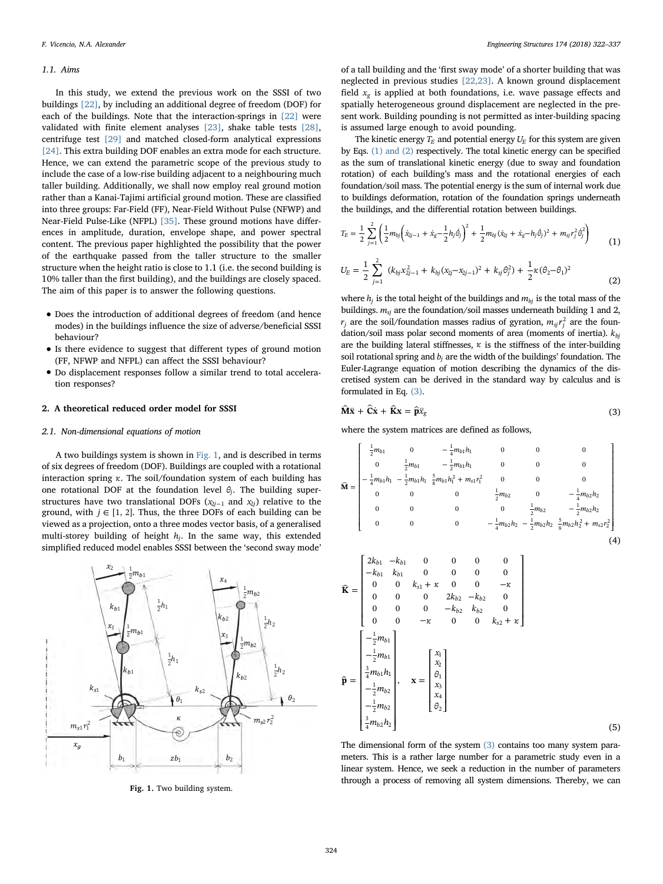#### 1.1. Aims

In this study, we extend the previous work on the SSSI of two buildings [\[22\]](#page-15-6), by including an additional degree of freedom (DOF) for each of the buildings. Note that the interaction-springs in [\[22\]](#page-15-6) were validated with finite element analyses [\[23\],](#page-15-7) shake table tests [\[28\]](#page-15-17), centrifuge test [\[29\]](#page-15-8) and matched closed-form analytical expressions [\[24\]](#page-15-9). This extra building DOF enables an extra mode for each structure. Hence, we can extend the parametric scope of the previous study to include the case of a low-rise building adjacent to a neighbouring much taller building. Additionally, we shall now employ real ground motion rather than a Kanai-Tajimi artificial ground motion. These are classified into three groups: Far-Field (FF), Near-Field Without Pulse (NFWP) and Near-Field Pulse-Like (NFPL) [\[35\].](#page-15-18) These ground motions have differences in amplitude, duration, envelope shape, and power spectral content. The previous paper highlighted the possibility that the power of the earthquake passed from the taller structure to the smaller structure when the height ratio is close to 1.1 (i.e. the second building is 10% taller than the first building), and the buildings are closely spaced. The aim of this paper is to answer the following questions.

- Does the introduction of additional degrees of freedom (and hence modes) in the buildings influence the size of adverse/beneficial SSSI behaviour?
- Is there evidence to suggest that different types of ground motion (FF, NFWP and NFPL) can affect the SSSI behaviour?
- Do displacement responses follow a similar trend to total acceleration responses?

# 2. A theoretical reduced order model for SSSI

## 2.1. Non-dimensional equations of motion

A two buildings system is shown in [Fig. 1](#page-2-0), and is described in terms of six degrees of freedom (DOF). Buildings are coupled with a rotational interaction spring *κ*. The soil/foundation system of each building has one rotational DOF at the foundation level *θj*. The building superstructures have two translational DOFs  $(x_{2j-1}$  and  $x_{2j})$  relative to the ground, with  $j \in [1, 2]$ . Thus, the three DOFs of each building can be viewed as a projection, onto a three modes vector basis, of a generalised multi-storey building of height *hj*. In the same way, this extended simplified reduced model enables SSSI between the 'second sway mode'

<span id="page-2-0"></span>

Fig. 1. Two building system.

of a tall building and the 'first sway mode' of a shorter building that was neglected in previous studies [\[22,23\].](#page-15-6) A known ground displacement field  $x_g$  is applied at both foundations, i.e. wave passage effects and spatially heterogeneous ground displacement are neglected in the present work. Building pounding is not permitted as inter-building spacing is assumed large enough to avoid pounding.

The kinetic energy  $T_E$  and potential energy  $U_E$  for this system are given by Eqs. [\(1\) and \(2\)](#page-2-1) respectively. The total kinetic energy can be specified as the sum of translational kinetic energy (due to sway and foundation rotation) of each building's mass and the rotational energies of each foundation/soil mass. The potential energy is the sum of internal work due to buildings deformation, rotation of the foundation springs underneath the buildings, and the differential rotation between buildings.

<span id="page-2-1"></span>
$$
T_E = \frac{1}{2} \sum_{j=1}^{2} \left( \frac{1}{2} m_{bj} \left( \dot{x}_{j-1} + \dot{x}_g - \frac{1}{2} h_j \dot{\theta}_j \right)^2 + \frac{1}{2} m_{bj} (\dot{x}_{2j} + \dot{x}_g - h_j \dot{\theta}_j)^2 + m_{sj} r_j^2 \dot{\theta}_j^2 \right)
$$
(1)

$$
U_E = \frac{1}{2} \sum_{j=1}^{2} (k_{bj} x_{2j-1}^2 + k_{bj} (x_{2j} - x_{2j-1})^2 + k_{sj} \theta_j^2) + \frac{1}{2} \kappa (\theta_2 - \theta_1)^2
$$
\n(2)

where  $h_j$  is the total height of the buildings and  $m_{bj}$  is the total mass of the buildings.  $m_{si}$  are the foundation/soil masses underneath building 1 and 2,  $r_j$  are the soil/foundation masses radius of gyration,  $m_{sj}r_j^2$  are the foundation/soil mass polar second moments of area (moments of inertia). *kbj* are the building lateral stiffnesses,  $\kappa$  is the stiffness of the inter-building soil rotational spring and *bj* are the width of the buildings' foundation. The Euler-Lagrange equation of motion describing the dynamics of the discretised system can be derived in the standard way by calculus and is formulated in Eq. [\(3\)](#page-2-2).

<span id="page-2-2"></span>
$$
\hat{\mathbf{M}}\ddot{\mathbf{x}} + \hat{\mathbf{C}}\dot{\mathbf{x}} + \hat{\mathbf{K}}\mathbf{x} = \hat{\mathbf{p}}\ddot{x}_{g}
$$
 (3)

where the system matrices are defined as follows,

$$
\widehat{\mathbf{M}} = \begin{bmatrix}\n\frac{1}{2}m_{b1} & 0 & -\frac{1}{4}m_{b1}h_1 & 0 & 0 & 0 \\
0 & \frac{1}{2}m_{b1} & -\frac{1}{2}m_{b1}h_1 & 0 & 0 & 0 \\
-\frac{1}{4}m_{b1}h_1 - \frac{1}{2}m_{b1}h_1 + \frac{5}{8}m_{b1}h_1^2 + m_{s1}r_1^2 & 0 & 0 & 0 \\
0 & 0 & 0 & \frac{1}{2}m_{b2} & 0 & -\frac{1}{4}m_{b2}h_2 \\
0 & 0 & 0 & 0 & \frac{1}{2}m_{b2} - \frac{1}{2}m_{b2}h_2 \\
0 & 0 & 0 & -\frac{1}{4}m_{b2}h_2 - \frac{1}{2}m_{b2}h_2 + \frac{5}{8}m_{b2}h_2^2 + m_{s2}r_2^2\n\end{bmatrix}
$$
\n(4)

$$
\widehat{\mathbf{K}} = \begin{bmatrix}\n2k_{b1} & -k_{b1} & 0 & 0 & 0 & 0 \\
-k_{b1} & k_{b1} & 0 & 0 & 0 & 0 \\
0 & 0 & k_{s1} + \kappa & 0 & 0 & -\kappa \\
0 & 0 & 0 & 2k_{b2} & -k_{b2} & 0 \\
0 & 0 & 0 & -k_{b2} & k_{b2} & 0 \\
0 & 0 & -\kappa & 0 & 0 & k_{s2} + \kappa\n\end{bmatrix}
$$
\n
$$
\widehat{\mathbf{p}} = \begin{bmatrix}\n-\frac{1}{2}m_{b1} \\
\frac{3}{4}m_{b1}h_1 \\
\frac{1}{2}m_{b2} \\
-\frac{1}{2}m_{b2} \\
\frac{3}{4}m_{b2}h_2\n\end{bmatrix}, \quad \mathbf{x} = \begin{bmatrix}\nx_1 \\
x_2 \\
\k_3 \\
x_4 \\
\frac{x_4}{\theta_2}\n\end{bmatrix}
$$
\n(5)

The dimensional form of the system [\(3\)](#page-2-2) contains too many system parameters. This is a rather large number for a parametric study even in a linear system. Hence, we seek a reduction in the number of parameters through a process of removing all system dimensions. Thereby, we can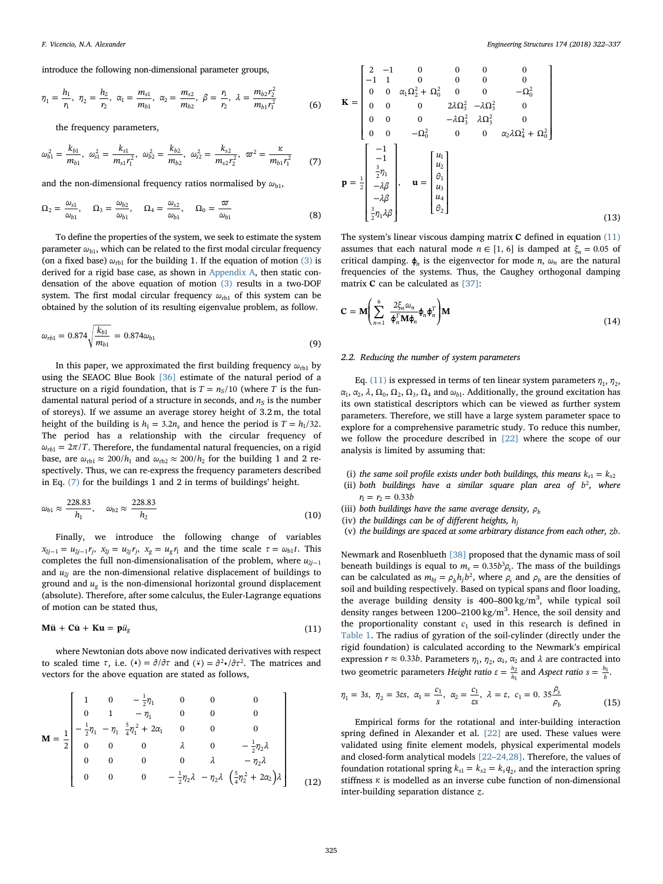introduce the following non-dimensional parameter groups,

$$
\eta_1 = \frac{h_1}{r_1}, \ \eta_2 = \frac{h_2}{r_2}, \ \alpha_1 = \frac{m_{s1}}{m_{b1}}, \ \alpha_2 = \frac{m_{s2}}{m_{b2}}, \ \beta = \frac{r_1}{r_2}, \ \lambda = \frac{m_{b2}r_2^2}{m_{b1}r_1^2}
$$
(6)

<span id="page-3-0"></span>the frequency parameters,

$$
\omega_{b1}^2 = \frac{k_{b1}}{m_{b1}}, \ \omega_{s1}^2 = \frac{k_{s1}}{m_{s1}r_1^2}, \ \omega_{b2}^2 = \frac{k_{b2}}{m_{b2}}, \ \omega_{s2}^2 = \frac{k_{s2}}{m_{s2}r_2^2}, \ \varpi^2 = \frac{\kappa}{m_{b1}r_1^2} \tag{7}
$$

and the non-dimensional frequency ratios normalised by  $\omega_{\text{bl}}$ ,

$$
\Omega_2 = \frac{\omega_{s1}}{\omega_{b1}}, \quad \Omega_3 = \frac{\omega_{b2}}{\omega_{b1}}, \quad \Omega_4 = \frac{\omega_{s2}}{\omega_{b1}}, \quad \Omega_0 = \frac{\varpi}{\omega_{b1}}
$$
(8)

To define the properties of the system, we seek to estimate the system parameter  $\omega_{b1}$ , which can be related to the first modal circular frequency (on a fixed base)  $\omega_{rb1}$  for the building 1. If the equation of motion [\(3\)](#page-2-2) is derived for a rigid base case, as shown in [Appendix A](#page-13-0), then static condensation of the above equation of motion [\(3\)](#page-2-2) results in a two-DOF system. The first modal circular frequency  $ω_{rb1}$  of this system can be obtained by the solution of its resulting eigenvalue problem, as follow.

$$
\omega_{rb1} = 0.874 \sqrt{\frac{k_{b1}}{m_{b1}}} = 0.874 \omega_{b1}
$$
\n(9)

In this paper, we approximated the first building frequency  $\omega_{rb1}$  by using the SEAOC Blue Book [\[36\]](#page-15-19) estimate of the natural period of a structure on a rigid foundation, that is  $T = n_S/10$  (where *T* is the fundamental natural period of a structure in seconds, and  $n<sub>S</sub>$  is the number of storeys). If we assume an average storey height of 3.2 m, the total height of the building is  $h_1 = 3.2 n_s$  and hence the period is  $T = h_1/32$ . The period has a relationship with the circular frequency of  $\omega_{rb1} = 2\pi/T$ . Therefore, the fundamental natural frequencies, on a rigid base, are  $\omega_{rb1} \approx 200/h_1$  and  $\omega_{rb2} \approx 200/h_2$  for the building 1 and 2 respectively. Thus, we can re-express the frequency parameters described in Eq. [\(7\)](#page-3-0) for the buildings 1 and 2 in terms of buildings' height.

$$
\omega_{b1} \approx \frac{228.83}{h_1}, \quad \omega_{b2} \approx \frac{228.83}{h_2}
$$
\n(10)

Finally, we introduce the following change of variables  $x_{2j-1} = u_{2j-1}r_j$ ,  $x_{2j} = u_{2j}r_j$ ,  $x_g = u_gr_1$  and the time scale  $\tau = \omega_{b1}t$ . This completes the full non-dimensionalisation of the problem, where  $u_{2i-1}$ and  $u_{2i}$  are the non-dimensional relative displacement of buildings to ground and *ug* is the non-dimensional horizontal ground displacement (absolute). Therefore, after some calculus, the Euler-Lagrange equations of motion can be stated thus,

<span id="page-3-1"></span>
$$
\mathbf{M}\ddot{\mathbf{u}} + \mathbf{C}\dot{\mathbf{u}} + \mathbf{K}\mathbf{u} = \mathbf{p}\ddot{u}_{g}
$$
 (11)

<span id="page-3-2"></span>where Newtonian dots above now indicated derivatives with respect to scaled time  $\tau$ , i.e.  $\left(\cdot\right) = \frac{\partial}{\partial \tau}$  and  $\left(\cdot\right) = \frac{\partial^2}{\partial \tau^2}$ . The matrices and vectors for the above equation are stated as follows,

$$
\mathbf{M} = \frac{1}{2} \begin{bmatrix} 1 & 0 & -\frac{1}{2}\eta_1 & 0 & 0 & 0 \\ 0 & 1 & -\eta_1 & 0 & 0 & 0 \\ -\frac{1}{2}\eta_1 - \eta_1 & \frac{5}{4}\eta_1^2 + 2\alpha_1 & 0 & 0 & 0 \\ 0 & 0 & 0 & \lambda & 0 & -\frac{1}{2}\eta_2\lambda \\ 0 & 0 & 0 & 0 & \lambda & -\eta_2\lambda \\ 0 & 0 & 0 & -\frac{1}{2}\eta_2\lambda - \eta_2\lambda & (\frac{5}{4}\eta_2^2 + 2\alpha_2)\lambda \\ 0 & 0 & 0 & -\frac{1}{2}\eta_2\lambda - \eta_2\lambda & (\frac{5}{4}\eta_2^2 + 2\alpha_2)\lambda \end{bmatrix}
$$
(12)

$$
\mathbf{K} = \begin{bmatrix} 2 & -1 & 0 & 0 & 0 & 0 \\ -1 & 1 & 0 & 0 & 0 & 0 \\ 0 & 0 & \alpha_1 \Omega_2^2 + \Omega_0^2 & 0 & 0 & -\Omega_0^2 \\ 0 & 0 & 0 & 2\lambda \Omega_3^2 & -\lambda \Omega_3^2 & 0 \\ 0 & 0 & 0 & -\lambda \Omega_3^2 & \lambda \Omega_3^2 & 0 \\ 0 & 0 & -\Omega_0^2 & 0 & 0 & \alpha_2 \lambda \Omega_4^2 + \Omega_0^2 \end{bmatrix}
$$

$$
\mathbf{p} = \frac{1}{2} \begin{bmatrix} -1 \\ -1 \\ \frac{3}{2}\eta_1 \\ -\lambda \beta \\ -\lambda \beta \\ -\lambda \beta \\ \frac{3}{2}\eta_1 \lambda \beta \end{bmatrix}, \quad \mathbf{u} = \begin{bmatrix} u_1 \\ u_2 \\ \theta_1 \\ u_3 \\ u_4 \\ \theta_2 \end{bmatrix}
$$
(13)

The system's linear viscous damping matrix **C** defined in equation [\(11\)](#page-3-1) assumes that each natural mode  $n \in [1, 6]$  is damped at  $\xi_n = 0.05$  of critical damping.  $\phi_n$  is the eigenvector for mode *n*,  $\omega_n$  are the natural frequencies of the systems. Thus, the Caughey orthogonal damping matrix **C** can be calculated as [\[37\]:](#page-15-20)

$$
\mathbf{C} = \mathbf{M} \Bigg( \sum_{n=1}^{6} \frac{2 \xi_n \omega_n}{\boldsymbol{\phi}_n^T \mathbf{M} \boldsymbol{\phi}_n} \boldsymbol{\phi}_n \boldsymbol{\phi}_n^T \Bigg) \mathbf{M} \tag{14}
$$

#### 2.2. Reducing the number of system parameters

Eq. [\(11\)](#page-3-1) is expressed in terms of ten linear system parameters  $\eta_1$ ,  $\eta_2$ ,  $\alpha_1, \alpha_2, \lambda, \Omega_0, \Omega_2, \Omega_3, \Omega_4$  and  $\omega_{b1}$ . Additionally, the ground excitation has its own statistical descriptors which can be viewed as further system parameters. Therefore, we still have a large system parameter space to explore for a comprehensive parametric study. To reduce this number, we follow the procedure described in [\[22\]](#page-15-6) where the scope of our analysis is limited by assuming that:

- (i) the same soil profile exists under both buildings, this means  $k_{s1} = k_{s2}$
- (ii) both buildings have a similar square plan area of  $b^2$ , where  $r_1 = r_2 = 0.33b$
- (iii) both buildings have the same average density,  $\rho_h$
- (iv) the buildings can be of different heights, *hj*
- (v) the buildings are spaced at some arbitrary distance from each other, *zb*.

Newmark and Rosenblueth [\[38\]](#page-15-21) proposed that the dynamic mass of soil beneath buildings is equal to  $m_s = 0.35b^3 \rho_s$ . The mass of the buildings can be calculated as  $m_{bj} = \rho_b h_j b^2$ , where  $\rho_s$  and  $\rho_b$  are the densities of soil and building respectively. Based on typical spans and floor loading, the average building density is  $400-800$  kg/m<sup>3</sup>, while typical soil density ranges between 1200-2100 kg/m<sup>3</sup>. Hence, the soil density and the proportionality constant  $c_1$  used in this research is defined in [Table 1](#page-4-0). The radius of gyration of the soil-cylinder (directly under the rigid foundation) is calculated according to the Newmark's empirical expression  $r \approx 0.33b$ . Parameters  $\eta_1$ ,  $\eta_2$ ,  $\alpha_1$ ,  $\alpha_2$  and  $\lambda$  are contracted into two geometric parameters *Height ratio*  $ε = \frac{h_2}{h_1}$  and *Aspect ratio*  $s = \frac{h_1}{b}$ .

$$
\eta_1 = 3s, \ \eta_2 = 3\epsilon s, \ \alpha_1 = \frac{c_1}{s}, \ \alpha_2 = \frac{c_1}{\epsilon s}, \ \lambda = \epsilon, \ c_1 = 0. \ 35 \frac{\rho_s}{\rho_b}
$$
(15)

Empirical forms for the rotational and inter-building interaction spring defined in Alexander et al. [\[22\]](#page-15-6) are used. These values were validated using finite element models, physical experimental models and closed-form analytical models [22–[24,28\].](#page-15-6) Therefore, the values of foundation rotational spring  $k_{s1} = k_{s2} = k_s q_2$ , and the interaction spring stiffness *κ* is modelled as an inverse cube function of non-dimensional inter-building separation distance *z*.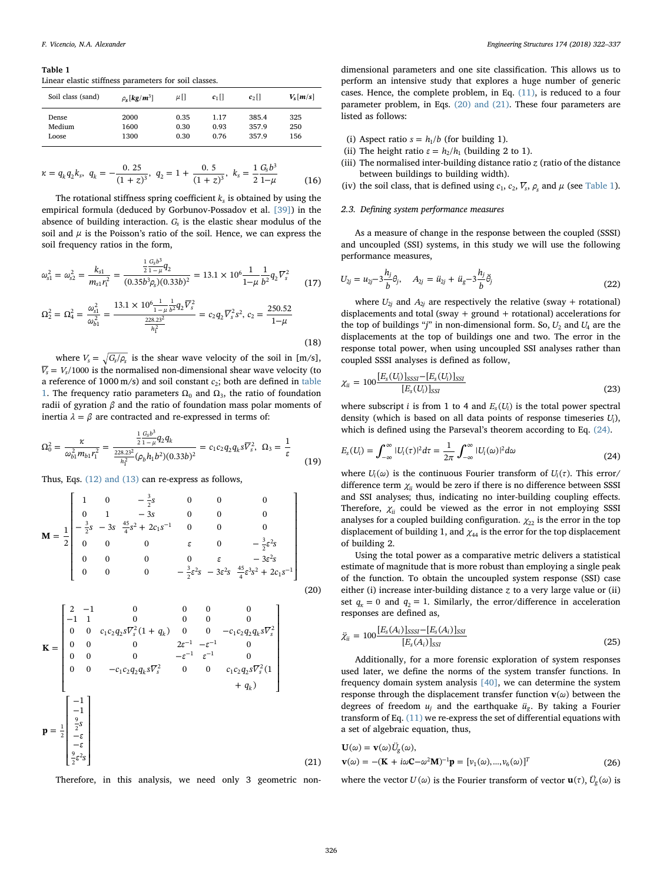<span id="page-4-0"></span>Table 1

Linear elastic stiffness parameters for soil classes.

| Soil class (sand) | $\rho_{\rm s}$ [kg/m <sup>3</sup> ] | μU   | $c_1$ | $c_2$ | $V_s[m/s]$ |
|-------------------|-------------------------------------|------|-------|-------|------------|
| Dense             | 2000                                | 0.35 | 1.17  | 385.4 | 325        |
| Medium            | 1600                                | 0.30 | 0.93  | 357.9 | 250        |
| Loose             | 1300                                | 0.30 | 0.76  | 357.9 | 156        |

$$
\kappa = q_k q_2 k_s, \ q_k = -\frac{0.25}{(1+z)^3}, \ q_2 = 1 + \frac{0.5}{(1+z)^3}, \ k_s = \frac{1}{2} \frac{G_s b^3}{1-\mu}
$$
(16)

The rotational stiffness spring coefficient  $k<sub>s</sub>$  is obtained by using the empirical formula (deduced by Gorbunov-Possadov et al. [\[39\]\)](#page-15-22) in the absence of building interaction. *Gs* is the elastic shear modulus of the soil and  $\mu$  is the Poisson's ratio of the soil. Hence, we can express the soil frequency ratios in the form,

$$
\omega_{s1}^2 = \omega_{s2}^2 = \frac{k_{s1}}{m_{s1}r_1^2} = \frac{\frac{1}{2}\frac{G_s b^3}{1-\mu}q_2}{(0.35b^3\rho_s)(0.33b)^2} = 13.1 \times 10^6 \frac{1}{1-\mu} \frac{1}{b^2}q_2 \overline{V}_s^2
$$
(17)

$$
\Omega_2^2 = \Omega_4^2 = \frac{\omega_{s1}^2}{\omega_{b1}^2} = \frac{13.1 \times 10^6 \frac{1}{1 - \mu} \frac{1}{b^2} q_2 \overline{V}_s^2}{\frac{228.23^2}{h_1^2}} = c_2 q_2 \overline{V}_s^2 s^2, c_2 = \frac{250.52}{1 - \mu}
$$
\n(18)

where  $V_s = \sqrt{G_s/\rho_s}$  is the shear wave velocity of the soil in [m/s],  $\overline{V_s}$  =  $V_s$ /1000 is the normalised non-dimensional shear wave velocity (to a reference of  $1000 \text{ m/s}$ ) and soil constant  $c_2$ ; both are defined in [table](#page-4-0) [1](#page-4-0). The frequency ratio parameters  $\Omega_0$  and  $\Omega_3$ , the ratio of foundation radii of gyration *β* and the ratio of foundation mass polar moments of inertia  $λ = β$  are contracted and re-expressed in terms of:

$$
\Omega_0^2 = \frac{\kappa}{\omega_{b1}^2 m_{b1} r_1^2} = \frac{\frac{1}{2} \frac{G_b b^3}{1 - \mu} q_2 q_k}{\frac{228.23^2}{h_1^2} (\rho_b h_1 b^2)(0.33b)^2} = c_1 c_2 q_2 q_k s \overline{V}_s^2, \ \Omega_3 = \frac{1}{\varepsilon}
$$
(19)

<span id="page-4-1"></span>Thus, Eqs. [\(12\) and \(13\)](#page-3-2) can re-express as follows,

$$
\mathbf{M} = \frac{1}{2} \begin{bmatrix} 1 & 0 & -\frac{3}{2}s & 0 & 0 & 0 \\ 0 & 1 & -3s & 0 & 0 & 0 \\ -\frac{3}{2}s & -3s & \frac{45}{4}s^2 + 2c_1s^{-1} & 0 & 0 & 0 \\ 0 & 0 & 0 & \varepsilon & 0 & -\frac{3}{2}\varepsilon^2 s \\ 0 & 0 & 0 & 0 & \varepsilon & -3\varepsilon^2 s \\ 0 & 0 & 0 & -\frac{3}{2}\varepsilon^2 s & -3\varepsilon^2 s & \frac{45}{4}\varepsilon^3 s^2 + 2c_1 s^{-1} \end{bmatrix}
$$
(20)

$$
\mathbf{K} = \begin{bmatrix} 2 & -1 & 0 & 0 & 0 & 0 \\ -1 & 1 & 0 & 0 & 0 & 0 \\ 0 & 0 & c_1c_2q_2s\overline{V}_s^2(1+q_k) & 0 & 0 & -c_1c_2q_2q_ks\overline{V}_s^2 \\ 0 & 0 & 0 & 2\epsilon^{-1} & -\epsilon^{-1} & 0 \\ 0 & 0 & 0 & -\epsilon^{-1} & \epsilon^{-1} & 0 \\ 0 & 0 & -c_1c_2q_2q_ks\overline{V}_s^2 & 0 & 0 & c_1c_2q_2s\overline{V}_s^2(1+q_k) \\ -1 & -1 & -\epsilon^{-1} & -\epsilon^{-1} & 0 \\ 0 & 0 & -c_1c_2q_2s\overline{V}_s^2(1+q_k) & 0 & 0 \end{bmatrix}
$$

$$
\mathbf{p} = \frac{1}{2} \begin{bmatrix} -1 \\ -1 \\ \frac{9}{2}s \\ -\epsilon \\ \frac{9}{2}\epsilon^2s \end{bmatrix}
$$
(21)

Therefore, in this analysis, we need only 3 geometric non-

dimensional parameters and one site classification. This allows us to perform an intensive study that explores a huge number of generic cases. Hence, the complete problem, in Eq. [\(11\),](#page-3-1) is reduced to a four parameter problem, in Eqs. [\(20\) and \(21\).](#page-4-1) These four parameters are listed as follows:

- (i) Aspect ratio  $s = h_1/b$  (for building 1).
- (ii) The height ratio  $\varepsilon = h_2/h_1$  (building 2 to 1).
- (iii) The normalised inter-building distance ratio *z* (ratio of the distance between buildings to building width).
- (iv) the soil class, that is defined using  $c_1$ ,  $c_2$ ,  $\overline{V_s}$ ,  $\rho_s$  and  $\mu$  (see [Table 1](#page-4-0)).

# 2.3. Defining system performance measures

As a measure of change in the response between the coupled (SSSI) and uncoupled (SSI) systems, in this study we will use the following performance measures,

$$
U_{2j} = u_{2j} - 3\frac{h_j}{b}\theta_j, \quad A_{2j} = \ddot{u}_{2j} + \ddot{u}_g - 3\frac{h_j}{b}\ddot{\theta}_j
$$
\n(22)

where  $U_{2j}$  and  $A_{2j}$  are respectively the relative (sway + rotational) displacements and total (sway + ground + rotational) accelerations for the top of buildings "j" in non-dimensional form. So,  $U_2$  and  $U_4$  are the displacements at the top of buildings one and two. The error in the response total power, when using uncoupled SSI analyses rather than coupled SSSI analyses is defined as follow,

<span id="page-4-3"></span>
$$
\chi_{ii} = 100 \frac{[E_s(U_i)]_{SSSI} - [E_s(U_i)]_{SSI}}{[E_s(U_i)]_{SSI}}
$$
\n(23)

<span id="page-4-2"></span>where subscript *i* is from 1 to 4 and  $E_s(U_i)$  is the total power spectral density (which is based on all data points of response timeseries *Ui*), which is defined using the Parseval's theorem according to Eq. [\(24\)](#page-4-2).

$$
E_{s}(U_{i}) = \int_{-\infty}^{\infty} |U_{i}(\tau)|^{2} d\tau = \frac{1}{2\pi} \int_{-\infty}^{\infty} |U_{i}(\omega)|^{2} d\omega \qquad (24)
$$

where  $U_i(\omega)$  is the continuous Fourier transform of  $U_i(\tau)$ . This error/ difference term  $\chi$ <sub>ii</sub> would be zero if there is no difference between SSSI and SSI analyses; thus, indicating no inter-building coupling effects. Therefore,  $\chi_{ii}$  could be viewed as the error in not employing SSSI analyses for a coupled building configuration.  $\chi_{22}$  is the error in the top displacement of building 1, and  $\chi_{44}$  is the error for the top displacement of building 2.

Using the total power as a comparative metric delivers a statistical estimate of magnitude that is more robust than employing a single peak of the function. To obtain the uncoupled system response (SSI) case either (i) increase inter-building distance *z* to a very large value or (ii) set  $q_x = 0$  and  $q_2 = 1$ . Similarly, the error/difference in acceleration responses are defined as,

<span id="page-4-5"></span>
$$
\ddot{\chi}_{ii} = 100 \frac{[E_s(A_i)]_{SSSI} - [E_s(A_i)]_{SSI}}{[E_s(A_i)]_{SSI}}
$$
\n(25)

Additionally, for a more forensic exploration of system responses used later, we define the norms of the system transfer functions. In frequency domain system analysis [\[40\]](#page-15-23), we can determine the system response through the displacement transfer function  $\mathbf{v}(\omega)$  between the degrees of freedom  $u_i$  and the earthquake  $\ddot{u}_g$ . By taking a Fourier transform of Eq. [\(11\)](#page-3-1) we re-express the set of differential equations with a set of algebraic equation, thus,

<span id="page-4-4"></span>
$$
\mathbf{U}(\omega) = \mathbf{v}(\omega) U_g(\omega),
$$
  
\n
$$
\mathbf{v}(\omega) = -(\mathbf{K} + i\omega \mathbf{C} - \omega^2 \mathbf{M})^{-1} \mathbf{p} = [v_1(\omega), ..., v_6(\omega)]^T
$$
\n(26)

where the vector  $U(\omega)$  is the Fourier transform of vector  $\mathbf{u}(\tau)$ ,  $\ddot{U}_g(\omega)$  is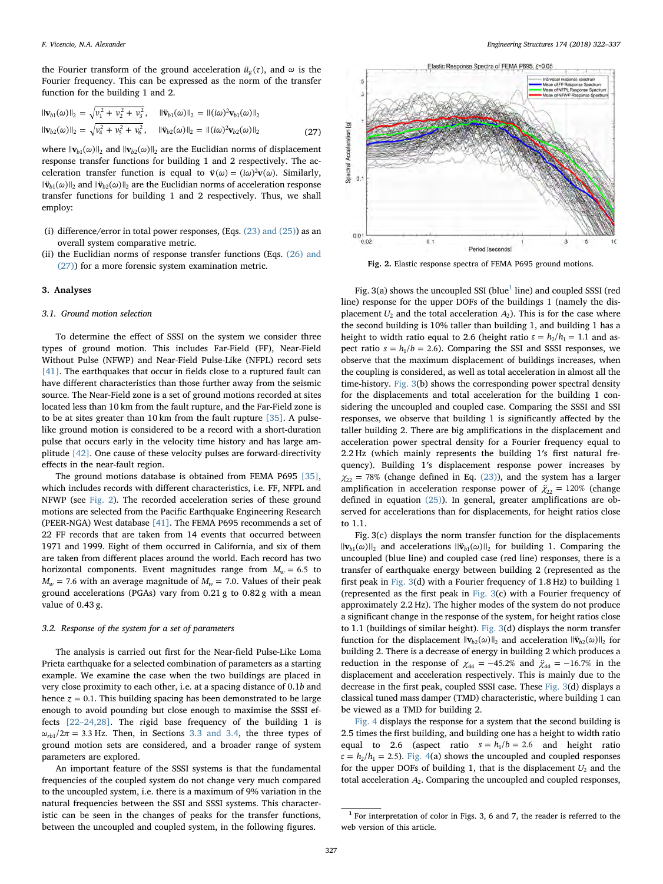the Fourier transform of the ground acceleration  $\ddot{u}_g(\tau)$ , and  $\omega$  is the Fourier frequency. This can be expressed as the norm of the transfer function for the building 1 and 2.

$$
\|\mathbf{v}_{b1}(\omega)\|_{2} = \sqrt{v_{1}^{2} + v_{2}^{2} + v_{3}^{2}}, \quad \|\ddot{\mathbf{v}}_{b1}(\omega)\|_{2} = \|(\dot{t}\omega)^{2}\mathbf{v}_{b1}(\omega)\|_{2}
$$
  

$$
\|\mathbf{v}_{b2}(\omega)\|_{2} = \sqrt{v_{4}^{2} + v_{5}^{2} + v_{6}^{2}}, \quad \|\ddot{\mathbf{v}}_{b2}(\omega)\|_{2} = \|(\dot{t}\omega)^{2}\mathbf{v}_{b2}(\omega)\|_{2}
$$
(27)

where  $\|\mathbf{v}_{b1}(\omega)\|_2$  and  $\|\mathbf{v}_{b2}(\omega)\|_2$  are the Euclidian norms of displacement response transfer functions for building 1 and 2 respectively. The acceleration transfer function is equal to  $\ddot{\mathbf{v}}(\omega) = (i\omega)^2 \mathbf{v}(\omega)$ . Similarly,  $\|\mathbf{\ddot{v}}_{h1}(\omega)\|_{2}$  and  $\|\mathbf{\ddot{v}}_{h2}(\omega)\|_{2}$  are the Euclidian norms of acceleration response transfer functions for building 1 and 2 respectively. Thus, we shall employ:

- (i) difference/error in total power responses, (Eqs.  $(23)$  and  $(25)$ ) as an overall system comparative metric.
- (ii) the Euclidian norms of response transfer functions (Eqs.  $(26)$  and [\(27\)\)](#page-4-4) for a more forensic system examination metric.

#### 3. Analyses

## 3.1. Ground motion selection

To determine the effect of SSSI on the system we consider three types of ground motion. This includes Far-Field (FF), Near-Field Without Pulse (NFWP) and Near-Field Pulse-Like (NFPL) record sets [\[41\]](#page-15-24). The earthquakes that occur in fields close to a ruptured fault can have different characteristics than those further away from the seismic source. The Near-Field zone is a set of ground motions recorded at sites located less than 10 km from the fault rupture, and the Far-Field zone is to be at sites greater than 10 km from the fault rupture [\[35\]](#page-15-18). A pulselike ground motion is considered to be a record with a short-duration pulse that occurs early in the velocity time history and has large amplitude [\[42\].](#page-15-25) One cause of these velocity pulses are forward-directivity effects in the near-fault region.

The ground motions database is obtained from FEMA P695 [\[35\]](#page-15-18), which includes records with different characteristics, i.e. FF, NFPL and NFWP (see [Fig. 2\)](#page-5-0). The recorded acceleration series of these ground motions are selected from the Pacific Earthquake Engineering Research (PEER-NGA) West database [\[41\]](#page-15-24). The FEMA P695 recommends a set of 22 FF records that are taken from 14 events that occurred between 1971 and 1999. Eight of them occurred in California, and six of them are taken from different places around the world. Each record has two horizontal components. Event magnitudes range from  $M_w = 6.5$  to  $M_w$  = 7.6 with an average magnitude of  $M_w$  = 7.0. Values of their peak ground accelerations (PGAs) vary from 0.21 g to 0.82 g with a mean value of 0.43 g.

#### 3.2. Response of the system for a set of parameters

The analysis is carried out first for the Near-field Pulse-Like Loma Prieta earthquake for a selected combination of parameters as a starting example. We examine the case when the two buildings are placed in very close proximity to each other, i.e. at a spacing distance of 0.1b and hence  $z = 0.1$ . This building spacing has been demonstrated to be large enough to avoid pounding but close enough to maximise the SSSI effects [22–[24,28\]](#page-15-6). The rigid base frequency of the building 1 is  $\omega_{rb1}/2\pi = 3.3$  Hz. Then, in Sections [3.3 and 3.4](#page-8-0), the three types of ground motion sets are considered, and a broader range of system parameters are explored.

An important feature of the SSSI systems is that the fundamental frequencies of the coupled system do not change very much compared to the uncoupled system, i.e. there is a maximum of 9% variation in the natural frequencies between the SSI and SSSI systems. This characteristic can be seen in the changes of peaks for the transfer functions, between the uncoupled and coupled system, in the following figures.

<span id="page-5-0"></span>

Fig. 2. Elastic response spectra of FEMA P695 ground motions.

Fig. 3(a) shows the uncoupled SSI (blue<sup>[1](#page-5-1)</sup> line) and coupled SSSI (red line) response for the upper DOFs of the buildings 1 (namely the displacement  $U_2$  and the total acceleration  $A_2$ ). This is for the case where the second building is 10% taller than building 1, and building 1 has a height to width ratio equal to 2.6 (height ratio  $\varepsilon = h_2/h_1 = 1.1$  and aspect ratio  $s = h_1/b = 2.6$ ). Comparing the SSI and SSSI responses, we observe that the maximum displacement of buildings increases, when the coupling is considered, as well as total acceleration in almost all the time-history. [Fig. 3](#page-6-0)(b) shows the corresponding power spectral density for the displacements and total acceleration for the building 1 considering the uncoupled and coupled case. Comparing the SSSI and SSI responses, we observe that building 1 is significantly affected by the taller building 2. There are big amplifications in the displacement and acceleration power spectral density for a Fourier frequency equal to 2.2 Hz (which mainly represents the building 1′s first natural frequency). Building 1′s displacement response power increases by  $\chi_{22}$  = 78% (change defined in Eq. [\(23\)\)](#page-4-3), and the system has a larger amplification in acceleration response power of  $\ddot{\chi}_2$  = 120% (change defined in equation [\(25\)](#page-4-5)). In general, greater amplifications are observed for accelerations than for displacements, for height ratios close to 1.1.

Fig. 3(c) displays the norm transfer function for the displacements  $||\mathbf{v}_{b1}(\omega)||_2$  and accelerations  $||\mathbf{v}_{b1}(\omega)||_2$  for building 1. Comparing the uncoupled (blue line) and coupled case (red line) responses, there is a transfer of earthquake energy between building 2 (represented as the first peak in [Fig. 3\(](#page-6-0)d) with a Fourier frequency of 1.8 Hz) to building 1 (represented as the first peak in [Fig. 3](#page-6-0)(c) with a Fourier frequency of approximately 2.2 Hz). The higher modes of the system do not produce a significant change in the response of the system, for height ratios close to 1.1 (buildings of similar height). [Fig. 3\(](#page-6-0)d) displays the norm transfer function for the displacement  $\|\mathbf{v}_{b2}(\omega)\|_2$  and acceleration  $\|\mathbf{\ddot{v}}_{b2}(\omega)\|_2$  for building 2. There is a decrease of energy in building 2 which produces a reduction in the response of  $\chi_{44} = -45.2\%$  and  $\ddot{\chi}_{44} = -16.7\%$  in the displacement and acceleration respectively. This is mainly due to the decrease in the first peak, coupled SSSI case. These [Fig. 3\(](#page-6-0)d) displays a classical tuned mass damper (TMD) characteristic, where building 1 can be viewed as a TMD for building 2.

[Fig. 4](#page-7-0) displays the response for a system that the second building is 2.5 times the first building, and building one has a height to width ratio equal to 2.6 (aspect ratio  $s = h_1/b = 2.6$  and height ratio  $\varepsilon = h_2/h_1 = 2.5$ ). [Fig. 4\(](#page-7-0)a) shows the uncoupled and coupled responses for the upper DOFs of building 1, that is the displacement  $U_2$  and the total acceleration *A*2. Comparing the uncoupled and coupled responses,

<span id="page-5-1"></span> $1$  For interpretation of color in Figs. 3, 6 and 7, the reader is referred to the web version of this article.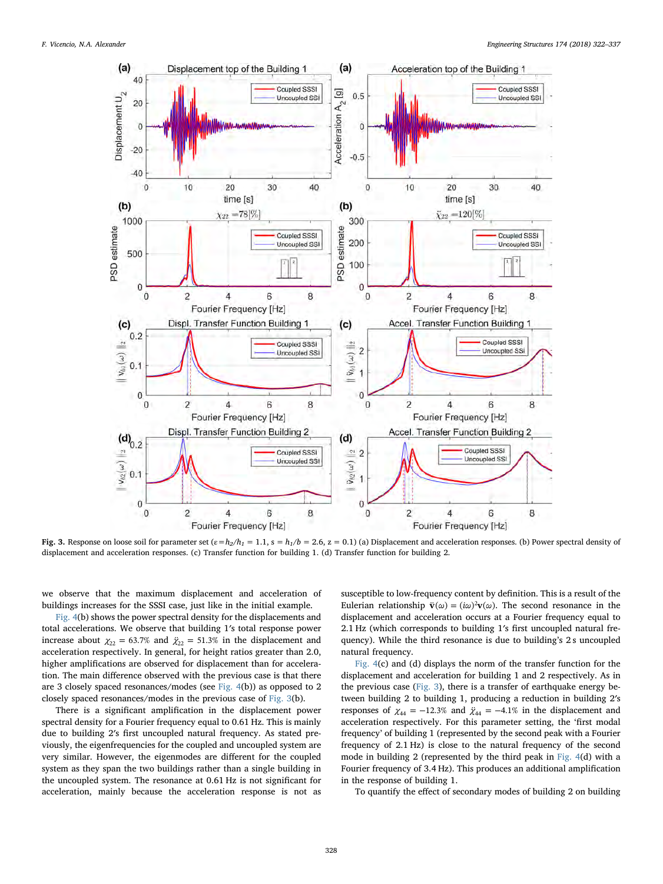<span id="page-6-0"></span>

Fig. 3. Response on loose soil for parameter set  $(\varepsilon=h_2/h_1=1.1, s=h_1/b=2.6, z=0.1)$  (a) Displacement and acceleration responses. (b) Power spectral density of displacement and acceleration responses. (c) Transfer function for building 1. (d) Transfer function for building 2.

we observe that the maximum displacement and acceleration of buildings increases for the SSSI case, just like in the initial example.

[Fig. 4\(](#page-7-0)b) shows the power spectral density for the displacements and total accelerations. We observe that building 1′s total response power increase about  $\chi_{22} = 63.7\%$  and  $\ddot{\chi}_{22} = 51.3\%$  in the displacement and acceleration respectively. In general, for height ratios greater than 2.0, higher amplifications are observed for displacement than for acceleration. The main difference observed with the previous case is that there are 3 closely spaced resonances/modes (see [Fig. 4\(](#page-7-0)b)) as opposed to 2 closely spaced resonances/modes in the previous case of [Fig. 3](#page-6-0)(b).

There is a significant amplification in the displacement power spectral density for a Fourier frequency equal to 0.61 Hz. This is mainly due to building 2′s first uncoupled natural frequency. As stated previously, the eigenfrequencies for the coupled and uncoupled system are very similar. However, the eigenmodes are different for the coupled system as they span the two buildings rather than a single building in the uncoupled system. The resonance at 0.61 Hz is not significant for acceleration, mainly because the acceleration response is not as susceptible to low-frequency content by definition. This is a result of the Eulerian relationship  $\ddot{\mathbf{v}}(\omega) = (i\omega)^2 \mathbf{v}(\omega)$ . The second resonance in the displacement and acceleration occurs at a Fourier frequency equal to 2.1 Hz (which corresponds to building 1′s first uncoupled natural frequency). While the third resonance is due to building's 2s uncoupled natural frequency.

[Fig. 4](#page-7-0)(c) and (d) displays the norm of the transfer function for the displacement and acceleration for building 1 and 2 respectively. As in the previous case ([Fig. 3](#page-6-0)), there is a transfer of earthquake energy between building 2 to building 1, producing a reduction in building 2′s responses of  $\chi_{44} = -12.3\%$  and  $\ddot{\chi}_{44} = -4.1\%$  in the displacement and acceleration respectively. For this parameter setting, the 'first modal frequency' of building 1 (represented by the second peak with a Fourier frequency of 2.1 Hz) is close to the natural frequency of the second mode in building 2 (represented by the third peak in [Fig. 4](#page-7-0)(d) with a Fourier frequency of 3.4 Hz). This produces an additional amplification in the response of building 1.

To quantify the effect of secondary modes of building 2 on building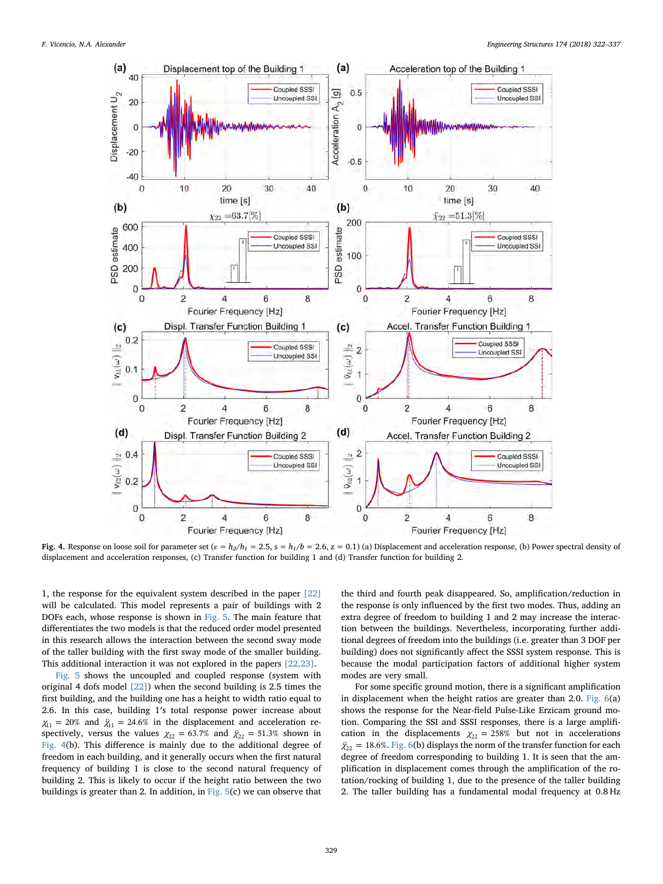<span id="page-7-0"></span>

Fig. 4. Response on loose soil for parameter set  $(\varepsilon = h_2/h_1 = 2.5$ ,  $s = h_1/b = 2.6$ ,  $z = 0.1$ ) (a) Displacement and acceleration response, (b) Power spectral density of displacement and acceleration responses, (c) Transfer function for building 1 and (d) Transfer function for building 2.

1, the response for the equivalent system described in the paper [\[22\]](#page-15-6) will be calculated. This model represents a pair of buildings with 2 DOFs each, whose response is shown in [Fig. 5.](#page-8-1) The main feature that differentiates the two models is that the reduced order model presented in this research allows the interaction between the second sway mode of the taller building with the first sway mode of the smaller building. This additional interaction it was not explored in the papers [\[22,23\]](#page-15-6).

[Fig. 5](#page-8-1) shows the uncoupled and coupled response (system with original 4 dofs model  $[22]$ ) when the second building is 2.5 times the first building, and the building one has a height to width ratio equal to 2.6. In this case, building 1′s total response power increase about  $\chi_{11}$  = 20% and  $\ddot{\chi}_{11}$  = 24.6% in the displacement and acceleration respectively, versus the values  $\chi_{22} = 63.7\%$  and  $\ddot{\chi}_{22} = 51.3\%$  shown in [Fig. 4](#page-7-0)(b). This difference is mainly due to the additional degree of freedom in each building, and it generally occurs when the first natural frequency of building 1 is close to the second natural frequency of building 2. This is likely to occur if the height ratio between the two buildings is greater than 2. In addition, in [Fig. 5\(](#page-8-1)c) we can observe that

the third and fourth peak disappeared. So, amplification/reduction in the response is only influenced by the first two modes. Thus, adding an extra degree of freedom to building 1 and 2 may increase the interaction between the buildings. Nevertheless, incorporating further additional degrees of freedom into the buildings (i.e. greater than 3 DOF per building) does not significantly affect the SSSI system response. This is because the modal participation factors of additional higher system modes are very small.

For some specific ground motion, there is a significant amplification in displacement when the height ratios are greater than 2.0. [Fig. 6\(](#page-9-0)a) shows the response for the Near-field Pulse-Like Erzicam ground motion. Comparing the SSI and SSSI responses, there is a large amplification in the displacements  $\chi_{22} = 258\%$  but not in accelerations  $\ddot{\chi}_{22}$  = 18.6%. [Fig. 6](#page-9-0)(b) displays the norm of the transfer function for each degree of freedom corresponding to building 1. It is seen that the amplification in displacement comes through the amplification of the rotation/rocking of building 1, due to the presence of the taller building 2. The taller building has a fundamental modal frequency at 0.8 Hz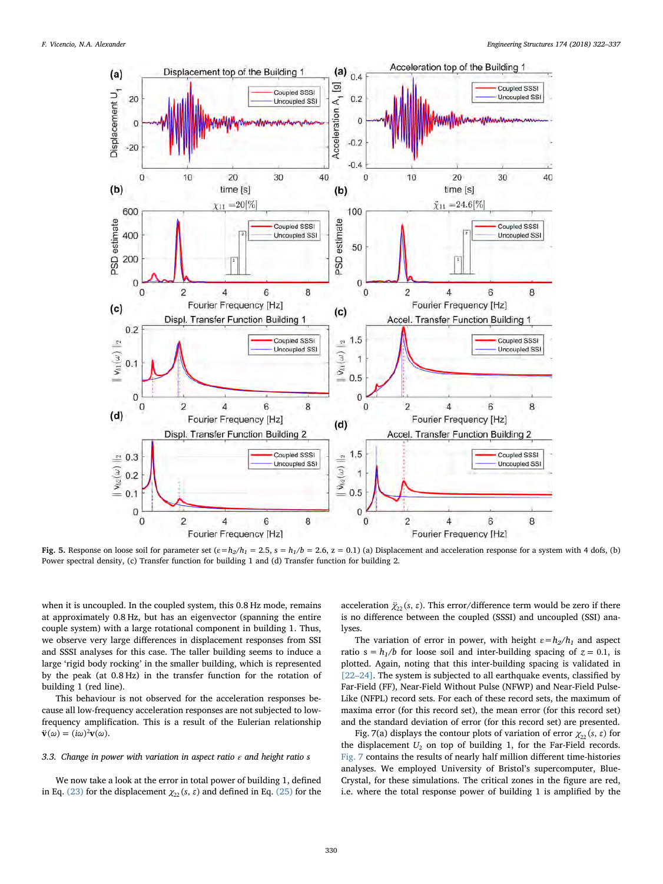<span id="page-8-1"></span>

Fig. 5. Response on loose soil for parameter set  $(\varepsilon = h_2/h_1 = 2.5, s = h_1/b = 2.6, z = 0.1)$  (a) Displacement and acceleration response for a system with 4 dofs, (b) Power spectral density, (c) Transfer function for building 1 and (d) Transfer function for building 2.

when it is uncoupled. In the coupled system, this 0.8 Hz mode, remains at approximately 0.8 Hz, but has an eigenvector (spanning the entire couple system) with a large rotational component in building 1. Thus, we observe very large differences in displacement responses from SSI and SSSI analyses for this case. The taller building seems to induce a large 'rigid body rocking' in the smaller building, which is represented by the peak (at 0.8 Hz) in the transfer function for the rotation of building 1 (red line).

This behaviour is not observed for the acceleration responses because all low-frequency acceleration responses are not subjected to lowfrequency amplification. This is a result of the Eulerian relationship  $\ddot{\mathbf{v}}(\omega) = (i\omega)^2 \mathbf{v}(\omega).$ 

# <span id="page-8-0"></span>3.3. Change in power with variation in aspect ratio  $\varepsilon$  and height ratio s

We now take a look at the error in total power of building 1, defined in Eq. [\(23\)](#page-4-3) for the displacement  $\chi_{22}(s, \varepsilon)$  and defined in Eq. [\(25\)](#page-4-5) for the acceleration  $\ddot{\chi}_{22}(s, \varepsilon)$ . This error/difference term would be zero if there is no difference between the coupled (SSSI) and uncoupled (SSI) analyses.

The variation of error in power, with height  $\varepsilon = h_2/h_1$  and aspect ratio  $s = h_1/b$  for loose soil and inter-building spacing of  $z = 0.1$ , is plotted. Again, noting that this inter-building spacing is validated in [22–[24\]](#page-15-6). The system is subjected to all earthquake events, classified by Far-Field (FF), Near-Field Without Pulse (NFWP) and Near-Field Pulse-Like (NFPL) record sets. For each of these record sets, the maximum of maxima error (for this record set), the mean error (for this record set) and the standard deviation of error (for this record set) are presented.

Fig. 7(a) displays the contour plots of variation of error  $\chi_{22}(s, \varepsilon)$  for the displacement  $U_2$  on top of building 1, for the Far-Field records. [Fig. 7](#page-9-1) contains the results of nearly half million different time-histories analyses. We employed University of Bristol's supercomputer, Blue-Crystal, for these simulations. The critical zones in the figure are red, i.e. where the total response power of building 1 is amplified by the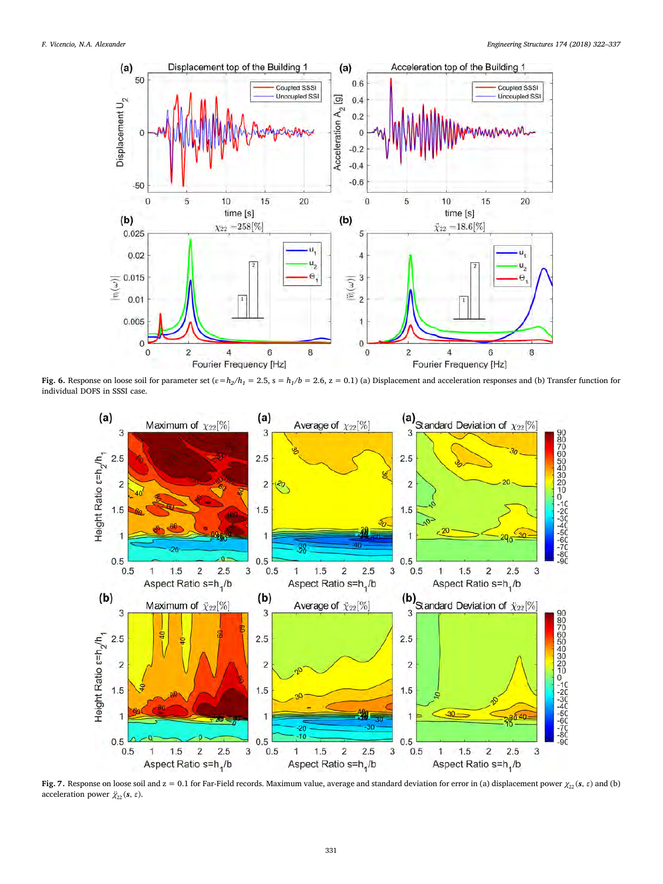<span id="page-9-0"></span>

<span id="page-9-1"></span>Fig. 6. Response on loose soil for parameter set  $(\varepsilon = h_2/h_1 = 2.5, s = h_1/b = 2.6, z = 0.1)$  (a) Displacement and acceleration responses and (b) Transfer function for individual DOFS in SSSI case.



Fig. 7. Response on loose soil and  $z = 0.1$  for Far-Field records. Maximum value, average and standard deviation for error in (a) displacement power  $\chi_{22}(s, \epsilon)$  and (b) acceleration power  $\ddot{\chi}_{22}$  (*s*, *ε*).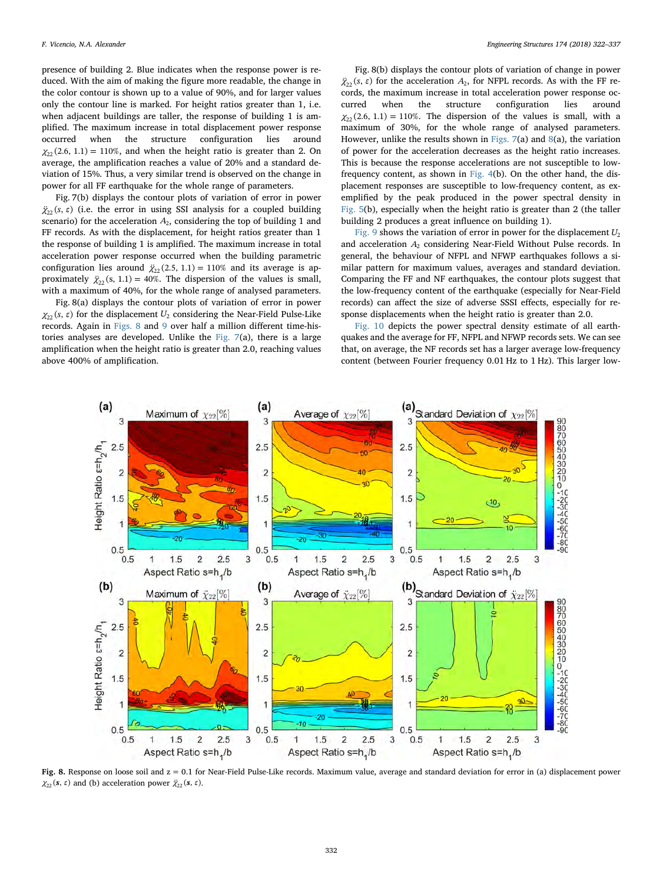presence of building 2. Blue indicates when the response power is reduced. With the aim of making the figure more readable, the change in the color contour is shown up to a value of 90%, and for larger values only the contour line is marked. For height ratios greater than 1, i.e. when adjacent buildings are taller, the response of building 1 is amplified. The maximum increase in total displacement power response occurred when the structure configuration lies around  $\chi_{22}$ (2.6, 1.1) = 110%, and when the height ratio is greater than 2. On average, the amplification reaches a value of 20% and a standard deviation of 15%. Thus, a very similar trend is observed on the change in power for all FF earthquake for the whole range of parameters.

Fig. 7(b) displays the contour plots of variation of error in power  $\ddot{\chi}_{22}$ (s,  $\varepsilon$ ) (i.e. the error in using SSI analysis for a coupled building scenario) for the acceleration  $A_2$ , considering the top of building 1 and FF records. As with the displacement, for height ratios greater than 1 the response of building 1 is amplified. The maximum increase in total acceleration power response occurred when the building parametric configuration lies around  $\ddot{\chi}_{22}(2.5, 1.1) = 110\%$  and its average is approximately  $\ddot{\chi}_2$  (s, 1.1) = 40%. The dispersion of the values is small, with a maximum of 40%, for the whole range of analysed parameters.

Fig. 8(a) displays the contour plots of variation of error in power  $\chi_{22}$ (s,  $\varepsilon$ ) for the displacement  $U_2$  considering the Near-Field Pulse-Like records. Again in [Figs. 8](#page-10-0) and [9](#page-11-0) over half a million different time-histories analyses are developed. Unlike the [Fig. 7](#page-9-1)(a), there is a large amplification when the height ratio is greater than 2.0, reaching values above 400% of amplification.

Fig. 8(b) displays the contour plots of variation of change in power  $\ddot{\chi}_{22}(s, \varepsilon)$  for the acceleration  $A_2$ , for NFPL records. As with the FF records, the maximum increase in total acceleration power response occurred when the structure configuration lies around  $\chi_{22}(2.6, 1.1) = 110\%$ . The dispersion of the values is small, with a maximum of 30%, for the whole range of analysed parameters. However, unlike the results shown in [Figs. 7\(](#page-9-1)a) and [8](#page-10-0)(a), the variation of power for the acceleration decreases as the height ratio increases. This is because the response accelerations are not susceptible to lowfrequency content, as shown in [Fig. 4\(](#page-7-0)b). On the other hand, the displacement responses are susceptible to low-frequency content, as exemplified by the peak produced in the power spectral density in [Fig. 5](#page-8-1)(b), especially when the height ratio is greater than 2 (the taller building 2 produces a great influence on building 1).

[Fig. 9](#page-11-0) shows the variation of error in power for the displacement  $U_2$ and acceleration  $A_2$  considering Near-Field Without Pulse records. In general, the behaviour of NFPL and NFWP earthquakes follows a similar pattern for maximum values, averages and standard deviation. Comparing the FF and NF earthquakes, the contour plots suggest that the low-frequency content of the earthquake (especially for Near-Field records) can affect the size of adverse SSSI effects, especially for response displacements when the height ratio is greater than 2.0.

[Fig. 10](#page-11-1) depicts the power spectral density estimate of all earthquakes and the average for FF, NFPL and NFWP records sets. We can see that, on average, the NF records set has a larger average low-frequency content (between Fourier frequency 0.01 Hz to 1 Hz). This larger low-

<span id="page-10-0"></span>

Fig. 8. Response on loose soil and  $z = 0.1$  for Near-Field Pulse-Like records. Maximum value, average and standard deviation for error in (a) displacement power *χ*<sub>22</sub> (*s*, *ε*) and (b) acceleration power  $\ddot{\chi}_{22}$  (*s*, *ε*).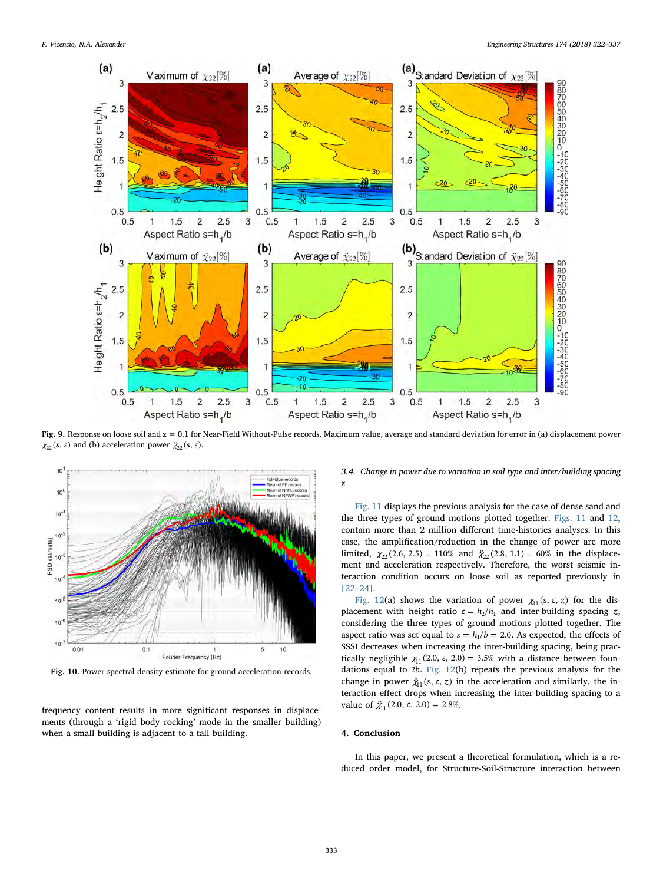<span id="page-11-0"></span>

Fig. 9. Response on loose soil and z = 0.1 for Near-Field Without-Pulse records. Maximum value, average and standard deviation for error in (a) displacement power  $\chi_{22}(s, \varepsilon)$  and (b) acceleration power  $\ddot{\chi}_{22}(s, \varepsilon)$ .

<span id="page-11-1"></span>

Fig. 10. Power spectral density estimate for ground acceleration records.

frequency content results in more significant responses in displacements (through a 'rigid body rocking' mode in the smaller building) when a small building is adjacent to a tall building.

3.4. Change in power due to variation in soil type and inter/building spacing z

[Fig. 11](#page-12-0) displays the previous analysis for the case of dense sand and the three types of ground motions plotted together. [Figs. 11](#page-12-0) and [12](#page-13-1), contain more than 2 million different time-histories analyses. In this case, the amplification/reduction in the change of power are more limited,  $\chi_{22}(2.6, 2.5) = 110\%$  and  $\ddot{\chi}_{22}(2.8, 1.1) = 60\%$  in the displacement and acceleration respectively. Therefore, the worst seismic interaction condition occurs on loose soil as reported previously in [22–[24\]](#page-15-6).

[Fig. 12](#page-13-1)(a) shows the variation of power  $\chi_{11}$ (s,  $\varepsilon$ , z) for the displacement with height ratio  $\varepsilon = h_2/h_1$  and inter-building spacing *z*, considering the three types of ground motions plotted together. The aspect ratio was set equal to  $s = h_1/b = 2.0$ . As expected, the effects of SSSI decreases when increasing the inter-building spacing, being practically negligible  $\chi_{11}$  (2.0,  $\varepsilon$ , 2.0) = 3.5% with a distance between foundations equal to 2*b*. [Fig. 12](#page-13-1)(b) repeats the previous analysis for the change in power  $\ddot{\chi}_1$ (s,  $\varepsilon$ , z) in the acceleration and similarly, the interaction effect drops when increasing the inter-building spacing to a value of  $\ddot{\chi}_1(2.0, \varepsilon, 2.0) = 2.8\%$ .

# 4. Conclusion

In this paper, we present a theoretical formulation, which is a reduced order model, for Structure-Soil-Structure interaction between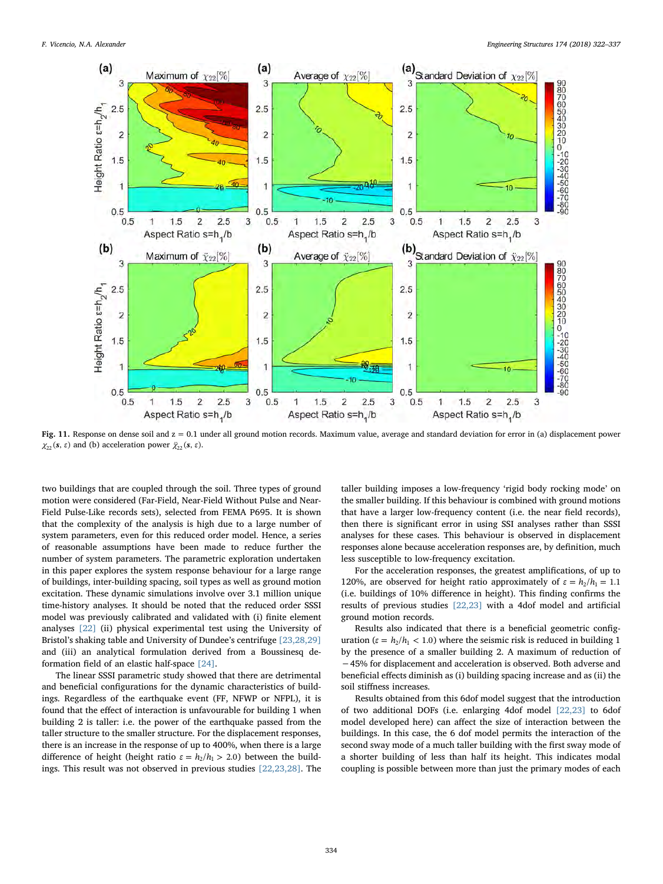<span id="page-12-0"></span>

Fig. 11. Response on dense soil and  $z = 0.1$  under all ground motion records. Maximum value, average and standard deviation for error in (a) displacement power  $\chi_{22}(\mathbf{s}, \varepsilon)$  and (b) acceleration power  $\ddot{\chi}_{22}(\mathbf{s}, \varepsilon)$ .

two buildings that are coupled through the soil. Three types of ground motion were considered (Far-Field, Near-Field Without Pulse and Near-Field Pulse-Like records sets), selected from FEMA P695. It is shown that the complexity of the analysis is high due to a large number of system parameters, even for this reduced order model. Hence, a series of reasonable assumptions have been made to reduce further the number of system parameters. The parametric exploration undertaken in this paper explores the system response behaviour for a large range of buildings, inter-building spacing, soil types as well as ground motion excitation. These dynamic simulations involve over 3.1 million unique time-history analyses. It should be noted that the reduced order SSSI model was previously calibrated and validated with (i) finite element analyses [\[22\]](#page-15-6) (ii) physical experimental test using the University of Bristol's shaking table and University of Dundee's centrifuge [\[23,28,29\]](#page-15-7) and (iii) an analytical formulation derived from a Boussinesq deformation field of an elastic half-space [\[24\]](#page-15-9).

The linear SSSI parametric study showed that there are detrimental and beneficial configurations for the dynamic characteristics of buildings. Regardless of the earthquake event (FF, NFWP or NFPL), it is found that the effect of interaction is unfavourable for building 1 when building 2 is taller: i.e. the power of the earthquake passed from the taller structure to the smaller structure. For the displacement responses, there is an increase in the response of up to 400%, when there is a large difference of height (height ratio  $\varepsilon = h_2/h_1 > 2.0$ ) between the buildings. This result was not observed in previous studies [\[22,23,28\]](#page-15-6). The

taller building imposes a low-frequency 'rigid body rocking mode' on the smaller building. If this behaviour is combined with ground motions that have a larger low-frequency content (i.e. the near field records), then there is significant error in using SSI analyses rather than SSSI analyses for these cases. This behaviour is observed in displacement responses alone because acceleration responses are, by definition, much less susceptible to low-frequency excitation.

For the acceleration responses, the greatest amplifications, of up to 120%, are observed for height ratio approximately of  $\varepsilon = h_2/h_1 = 1.1$ (i.e. buildings of 10% difference in height). This finding confirms the results of previous studies [\[22,23\]](#page-15-6) with a 4dof model and artificial ground motion records.

Results also indicated that there is a beneficial geometric configuration ( $\varepsilon = h_2/h_1 < 1.0$ ) where the seismic risk is reduced in building 1 by the presence of a smaller building 2. A maximum of reduction of −45% for displacement and acceleration is observed. Both adverse and beneficial effects diminish as (i) building spacing increase and as (ii) the soil stiffness increases.

Results obtained from this 6dof model suggest that the introduction of two additional DOFs (i.e. enlarging 4dof model [\[22,23\]](#page-15-6) to 6dof model developed here) can affect the size of interaction between the buildings. In this case, the 6 dof model permits the interaction of the second sway mode of a much taller building with the first sway mode of a shorter building of less than half its height. This indicates modal coupling is possible between more than just the primary modes of each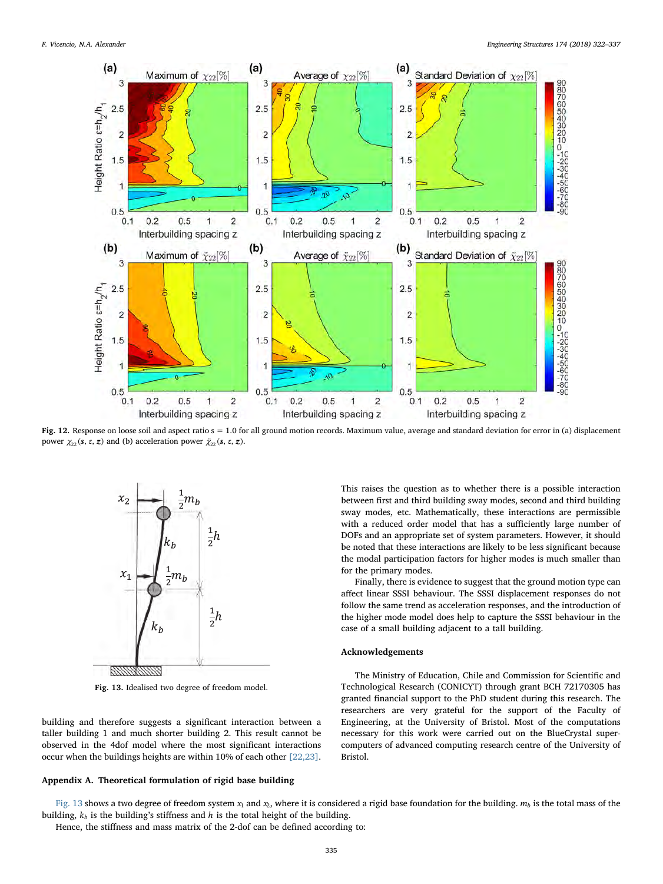<span id="page-13-1"></span>

Fig. 12. Response on loose soil and aspect ratio s = 1.0 for all ground motion records. Maximum value, average and standard deviation for error in (a) displacement power  $χ_{22}$  (s, ε, z) and (b) acceleration power  $\ddot{\chi}_{22}$  (s, ε, z).

<span id="page-13-2"></span>

Fig. 13. Idealised two degree of freedom model.

building and therefore suggests a significant interaction between a taller building 1 and much shorter building 2. This result cannot be observed in the 4dof model where the most significant interactions occur when the buildings heights are within 10% of each other [\[22,23\]](#page-15-6).

#### <span id="page-13-0"></span>Appendix A. Theoretical formulation of rigid base building

This raises the question as to whether there is a possible interaction between first and third building sway modes, second and third building sway modes, etc. Mathematically, these interactions are permissible with a reduced order model that has a sufficiently large number of DOFs and an appropriate set of system parameters. However, it should be noted that these interactions are likely to be less significant because the modal participation factors for higher modes is much smaller than for the primary modes.

Finally, there is evidence to suggest that the ground motion type can affect linear SSSI behaviour. The SSSI displacement responses do not follow the same trend as acceleration responses, and the introduction of the higher mode model does help to capture the SSSI behaviour in the case of a small building adjacent to a tall building.

# Acknowledgements

The Ministry of Education, Chile and Commission for Scientific and Technological Research (CONICYT) through grant BCH 72170305 has granted financial support to the PhD student during this research. The researchers are very grateful for the support of the Faculty of Engineering, at the University of Bristol. Most of the computations necessary for this work were carried out on the BlueCrystal supercomputers of advanced computing research centre of the University of Bristol.

[Fig. 13](#page-13-2) shows a two degree of freedom system  $x_1$  and  $x_2$ , where it is considered a rigid base foundation for the building.  $m_b$  is the total mass of the building,  $k_b$  is the building's stiffness and  $h$  is the total height of the building.

Hence, the stiffness and mass matrix of the 2-dof can be defined according to: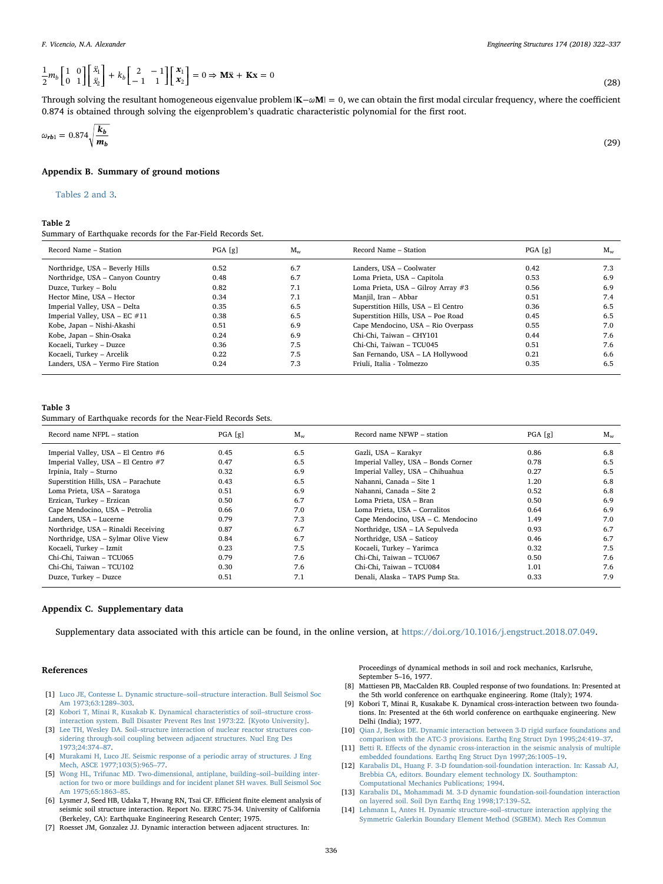$$
\frac{1}{2}m_b \begin{bmatrix} 1 & 0 \\ 0 & 1 \end{bmatrix} \begin{bmatrix} \ddot{x}_1 \\ \ddot{x}_2 \end{bmatrix} + k_b \begin{bmatrix} 2 & -1 \\ -1 & 1 \end{bmatrix} \begin{bmatrix} x_1 \\ x_2 \end{bmatrix} = 0 \Rightarrow \mathbf{M}\ddot{\mathbf{x}} + \mathbf{K}\mathbf{x} = 0
$$
\n(28)

Through solving the resultant homogeneous eigenvalue problem $|K - \omega M| = 0$ , we can obtain the first modal circular frequency, where the coefficient 0.874 is obtained through solving the eigenproblem's quadratic characteristic polynomial for the first root.

$$
\omega_{rb1} = 0.874 \sqrt{\frac{k_b}{m_b}}\tag{29}
$$

# Appendix B. Summary of ground motions

[Tables 2 and 3.](#page-14-14)

# <span id="page-14-14"></span>Table 2

Summary of Earthquake records for the Far-Field Records Set.

| Record Name - Station             | PGA[g] | $M_{w}$ | Record Name – Station               | PGA[g] | $M_{\rm w}$ |
|-----------------------------------|--------|---------|-------------------------------------|--------|-------------|
| Northridge, USA – Beverly Hills   | 0.52   | 6.7     | Landers, USA - Coolwater            | 0.42   | 7.3         |
| Northridge, USA - Canyon Country  | 0.48   | 6.7     | Loma Prieta, USA - Capitola         | 0.53   | 6.9         |
| Duzce, Turkey - Bolu              | 0.82   | 7.1     | Loma Prieta, USA - Gilroy Array #3  | 0.56   | 6.9         |
| Hector Mine, USA - Hector         | 0.34   | 7.1     | Manjil, Iran - Abbar                | 0.51   | 7.4         |
| Imperial Valley, USA - Delta      | 0.35   | 6.5     | Superstition Hills, USA - El Centro | 0.36   | 6.5         |
| Imperial Valley, USA – EC $#11$   | 0.38   | 6.5     | Superstition Hills, USA - Poe Road  | 0.45   | 6.5         |
| Kobe, Japan - Nishi-Akashi        | 0.51   | 6.9     | Cape Mendocino, USA - Rio Overpass  | 0.55   | 7.0         |
| Kobe, Japan – Shin-Osaka          | 0.24   | 6.9     | Chi-Chi, Taiwan - CHY101            | 0.44   | 7.6         |
| Kocaeli, Turkey - Duzce           | 0.36   | 7.5     | Chi-Chi, Taiwan - TCU045            | 0.51   | 7.6         |
| Kocaeli, Turkey - Arcelik         | 0.22   | 7.5     | San Fernando, USA - LA Hollywood    | 0.21   | 6.6         |
| Landers, USA - Yermo Fire Station | 0.24   | 7.3     | Friuli. Italia - Tolmezzo           | 0.35   | 6.5         |

#### Table 3

Summary of Earthquake records for the Near-Field Records Sets.

| Record name NFPL – station          | PGA[g] | $M_w$ | Record name NFWP – station          | PGA[g] | $M_{w}$ |
|-------------------------------------|--------|-------|-------------------------------------|--------|---------|
| Imperial Valley, USA - El Centro #6 | 0.45   | 6.5   | Gazli, USA - Karakyr                | 0.86   | 6.8     |
| Imperial Valley, USA - El Centro #7 | 0.47   | 6.5   | Imperial Valley, USA - Bonds Corner | 0.78   | 6.5     |
| Irpinia, Italy - Sturno             | 0.32   | 6.9   | Imperial Valley, USA - Chihuahua    | 0.27   | 6.5     |
| Superstition Hills, USA - Parachute | 0.43   | 6.5   | Nahanni, Canada - Site 1            | 1.20   | 6.8     |
| Loma Prieta, USA - Saratoga         | 0.51   | 6.9   | Nahanni, Canada - Site 2            | 0.52   | 6.8     |
| Erzican, Turkey - Erzican           | 0.50   | 6.7   | Loma Prieta, USA - Bran             | 0.50   | 6.9     |
| Cape Mendocino, USA - Petrolia      | 0.66   | 7.0   | Loma Prieta, USA - Corralitos       | 0.64   | 6.9     |
| Landers, USA - Lucerne              | 0.79   | 7.3   | Cape Mendocino, USA - C. Mendocino  | 1.49   | 7.0     |
| Northridge, USA - Rinaldi Receiving | 0.87   | 6.7   | Northridge, USA - LA Sepulveda      | 0.93   | 6.7     |
| Northridge, USA - Sylmar Olive View | 0.84   | 6.7   | Northridge, USA - Saticoy           | 0.46   | 6.7     |
| Kocaeli, Turkey - Izmit             | 0.23   | 7.5   | Kocaeli, Turkey - Yarimca           | 0.32   | 7.5     |
| Chi-Chi, Taiwan - TCU065            | 0.79   | 7.6   | Chi-Chi, Taiwan - TCU067            | 0.50   | 7.6     |
| Chi-Chi. Taiwan - TCU102            | 0.30   | 7.6   | Chi-Chi, Taiwan - TCU084            | 1.01   | 7.6     |
| Duzce, Turkey - Duzce               | 0.51   | 7.1   | Denali, Alaska - TAPS Pump Sta.     | 0.33   | 7.9     |

#### Appendix C. Supplementary data

Supplementary data associated with this article can be found, in the online version, at <https://doi.org/10.1016/j.engstruct.2018.07.049>.

#### References

Proceedings of dynamical methods in soil and rock mechanics, Karlsruhe, September 5–16, 1977.

- <span id="page-14-0"></span>[1] [Luco JE, Contesse L. Dynamic structure](http://refhub.elsevier.com/S0141-0296(17)32984-X/h0005)–soil–structure interaction. Bull Seismol Soc [Am 1973;63:1289](http://refhub.elsevier.com/S0141-0296(17)32984-X/h0005)–303.
- <span id="page-14-1"></span>[2] [Kobori T, Minai R, Kusakab K. Dynamical characteristics of soil](http://refhub.elsevier.com/S0141-0296(17)32984-X/h0010)–structure cross[interaction system. Bull Disaster Prevent Res Inst 1973:22. \[Kyoto University\].](http://refhub.elsevier.com/S0141-0296(17)32984-X/h0010)
- <span id="page-14-2"></span>[3] Lee TH, Wesley DA. Soil–[structure interaction of nuclear reactor structures con](http://refhub.elsevier.com/S0141-0296(17)32984-X/h0015)[sidering through-soil coupling between adjacent structures. Nucl Eng Des](http://refhub.elsevier.com/S0141-0296(17)32984-X/h0015) [1973;24:374](http://refhub.elsevier.com/S0141-0296(17)32984-X/h0015)–87.
- <span id="page-14-3"></span>[4] [Murakami H, Luco JE. Seismic response of a periodic array of structures. J Eng](http://refhub.elsevier.com/S0141-0296(17)32984-X/h0020) [Mech, ASCE 1977;103\(5\):965](http://refhub.elsevier.com/S0141-0296(17)32984-X/h0020)–77.
- <span id="page-14-4"></span>[5] [Wong HL, Trifunac MD. Two-dimensional, antiplane, building](http://refhub.elsevier.com/S0141-0296(17)32984-X/h0025)–soil–building inter[action for two or more buildings and for incident planet SH waves. Bull Seismol Soc](http://refhub.elsevier.com/S0141-0296(17)32984-X/h0025) [Am 1975;65:1863](http://refhub.elsevier.com/S0141-0296(17)32984-X/h0025)–85.
- <span id="page-14-5"></span>[6] Lysmer J, Seed HB, Udaka T, Hwang RN, Tsai CF. Efficient finite element analysis of seismic soil structure interaction. Report No. EERC 75-34. University of California (Berkeley, CA): Earthquake Engineering Research Center; 1975.
- <span id="page-14-6"></span>[7] Roesset JM, Gonzalez JJ. Dynamic interaction between adjacent structures. In:
- <span id="page-14-7"></span>[8] Mattiesen PB, MacCalden RB. Coupled response of two foundations. In: Presented at the 5th world conference on earthquake engineering. Rome (Italy); 1974.
- <span id="page-14-8"></span>[9] Kobori T, Minai R, Kusakabe K. Dynamical cross-interaction between two foundations. In: Presented at the 6th world conference on earthquake engineering. New Delhi (India); 1977.
- <span id="page-14-9"></span>[10] [Qian J, Beskos DE. Dynamic interaction between 3-D rigid surface foundations and](http://refhub.elsevier.com/S0141-0296(17)32984-X/h0050) [comparison with the ATC-3 provisions. Earthq Eng Struct Dyn 1995;24:419](http://refhub.elsevier.com/S0141-0296(17)32984-X/h0050)–37.
- <span id="page-14-10"></span>[11] Betti R. Eff[ects of the dynamic cross-interaction in the seismic analysis of multiple](http://refhub.elsevier.com/S0141-0296(17)32984-X/h0055) [embedded foundations. Earthq Eng Struct Dyn 1997;26:1005](http://refhub.elsevier.com/S0141-0296(17)32984-X/h0055)–19.
- <span id="page-14-11"></span>[12] [Karabalis DL, Huang F. 3-D foundation-soil-foundation interaction. In: Kassab AJ,](http://refhub.elsevier.com/S0141-0296(17)32984-X/h0060) [Brebbia CA, editors. Boundary element technology IX. Southampton:](http://refhub.elsevier.com/S0141-0296(17)32984-X/h0060) [Computational Mechanics Publications; 1994.](http://refhub.elsevier.com/S0141-0296(17)32984-X/h0060)
- <span id="page-14-12"></span>[13] [Karabalis DL, Mohammadi M. 3-D dynamic foundation-soil-foundation interaction](http://refhub.elsevier.com/S0141-0296(17)32984-X/h0065) [on layered soil. Soil Dyn Earthq Eng 1998;17:139](http://refhub.elsevier.com/S0141-0296(17)32984-X/h0065)–52.
- <span id="page-14-13"></span>[14] [Lehmann L, Antes H. Dynamic structure](http://refhub.elsevier.com/S0141-0296(17)32984-X/h0070)–soil–structure interaction applying the [Symmetric Galerkin Boundary Element Method \(SGBEM\). Mech Res Commun](http://refhub.elsevier.com/S0141-0296(17)32984-X/h0070)